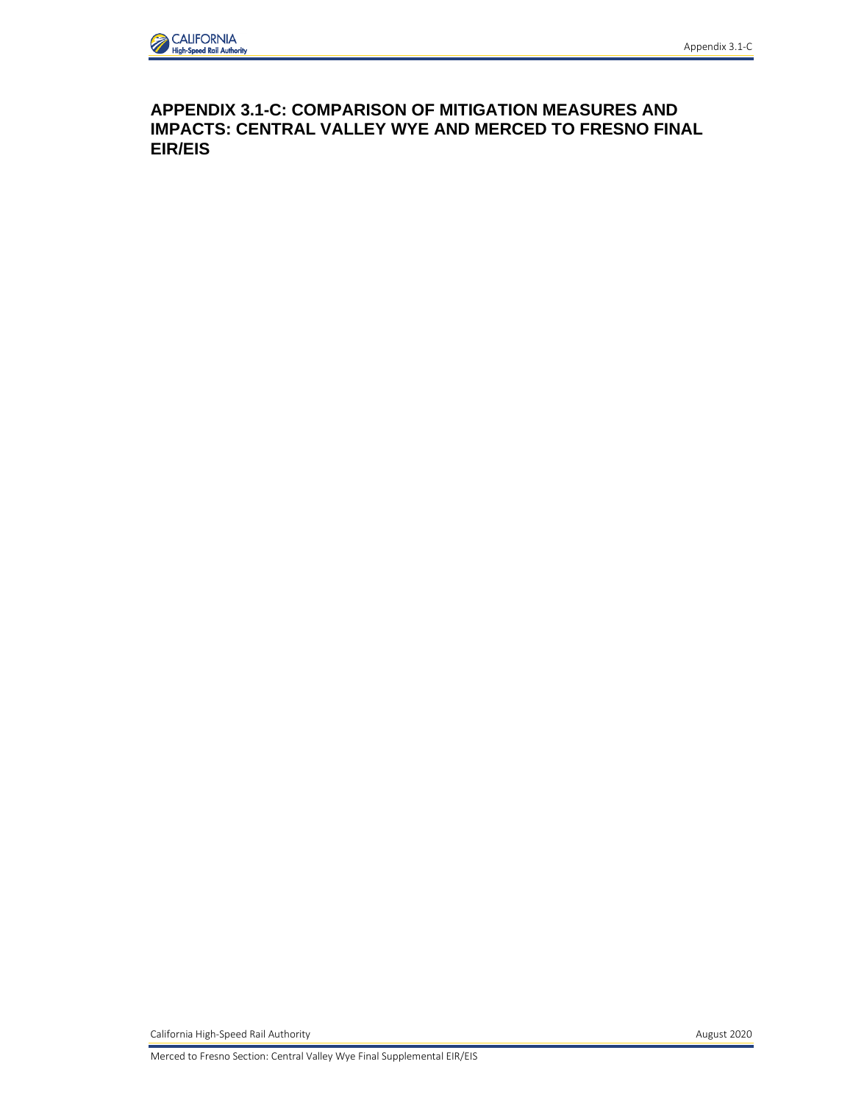

# **APPENDIX 3.1-C: COMPARISON OF MITIGATION MEASURES AND IMPACTS: CENTRAL VALLEY WYE AND MERCED TO FRESNO FINAL EIR/EIS**

California High-Speed Rail Authority **August 2020** 

Merced to Fresno Section: Central Valley Wye Final Supplemental EIR/EIS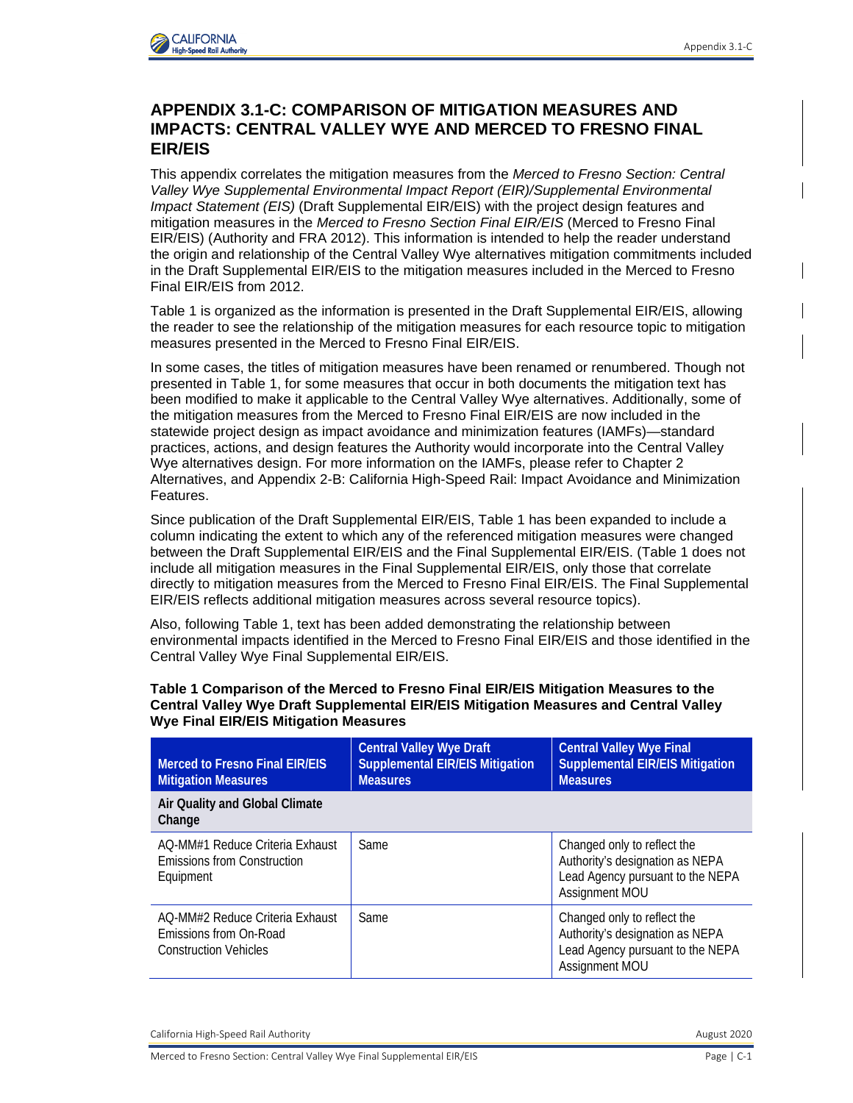

# **APPENDIX 3.1-C: COMPARISON OF MITIGATION MEASURES AND IMPACTS: CENTRAL VALLEY WYE AND MERCED TO FRESNO FINAL EIR/EIS**

This appendix correlates the mitigation measures from the *Merced to Fresno Section: Central Valley Wye Supplemental Environmental Impact Report (EIR)/Supplemental Environmental Impact Statement (EIS)* (Draft Supplemental EIR/EIS) with the project design features and mitigation measures in the *Merced to Fresno Section Final EIR/EIS* (Merced to Fresno Final EIR/EIS) (Authority and FRA 2012). This information is intended to help the reader understand the origin and relationship of the Central Valley Wye alternatives mitigation commitments included in the Draft Supplemental EIR/EIS to the mitigation measures included in the Merced to Fresno Final EIR/EIS from 2012.

Table 1 is organized as the information is presented in the Draft Supplemental EIR/EIS, allowing the reader to see the relationship of the mitigation measures for each resource topic to mitigation measures presented in the Merced to Fresno Final EIR/EIS.

In some cases, the titles of mitigation measures have been renamed or renumbered. Though not presented in Table 1, for some measures that occur in both documents the mitigation text has been modified to make it applicable to the Central Valley Wye alternatives. Additionally, some of the mitigation measures from the Merced to Fresno Final EIR/EIS are now included in the statewide project design as impact avoidance and minimization features (IAMFs)—standard practices, actions, and design features the Authority would incorporate into the Central Valley Wye alternatives design. For more information on the IAMFs, please refer to Chapter 2 Alternatives, and Appendix 2-B: California High-Speed Rail: Impact Avoidance and Minimization Features.

Since publication of the Draft Supplemental EIR/EIS, Table 1 has been expanded to include a column indicating the extent to which any of the referenced mitigation measures were changed between the Draft Supplemental EIR/EIS and the Final Supplemental EIR/EIS. (Table 1 does not include all mitigation measures in the Final Supplemental EIR/EIS, only those that correlate directly to mitigation measures from the Merced to Fresno Final EIR/EIS. The Final Supplemental EIR/EIS reflects additional mitigation measures across several resource topics).

Also, following Table 1, text has been added demonstrating the relationship between environmental impacts identified in the Merced to Fresno Final EIR/EIS and those identified in the Central Valley Wye Final Supplemental EIR/EIS.

| <b>Merced to Fresno Final EIR/EIS</b><br><b>Mitigation Measures</b>                       | <b>Central Valley Wye Draft</b><br><b>Supplemental EIR/EIS Mitigation</b><br><b>Measures</b> | <b>Central Valley Wye Final</b><br><b>Supplemental EIR/EIS Mitigation</b><br><b>Measures</b>                         |
|-------------------------------------------------------------------------------------------|----------------------------------------------------------------------------------------------|----------------------------------------------------------------------------------------------------------------------|
| Air Quality and Global Climate<br>Change                                                  |                                                                                              |                                                                                                                      |
| AO-MM#1 Reduce Criteria Exhaust<br>Emissions from Construction<br>Equipment               | <b>Same</b>                                                                                  | Changed only to reflect the<br>Authority's designation as NEPA<br>Lead Agency pursuant to the NEPA<br>Assignment MOU |
| AO-MM#2 Reduce Criteria Exhaust<br>Emissions from On-Road<br><b>Construction Vehicles</b> | <b>Same</b>                                                                                  | Changed only to reflect the<br>Authority's designation as NEPA<br>Lead Agency pursuant to the NEPA<br>Assignment MOU |

### **Table 1 Comparison of the Merced to Fresno Final EIR/EIS Mitigation Measures to the Central Valley Wye Draft Supplemental EIR/EIS Mitigation Measures and Central Valley Wye Final EIR/EIS Mitigation Measures**

Merced to Fresno Section: Central Valley Wye Final Supplemental EIR/EIS Page | C-1

California High-Speed Rail Authority **August 2020** California High-Speed Rail Authority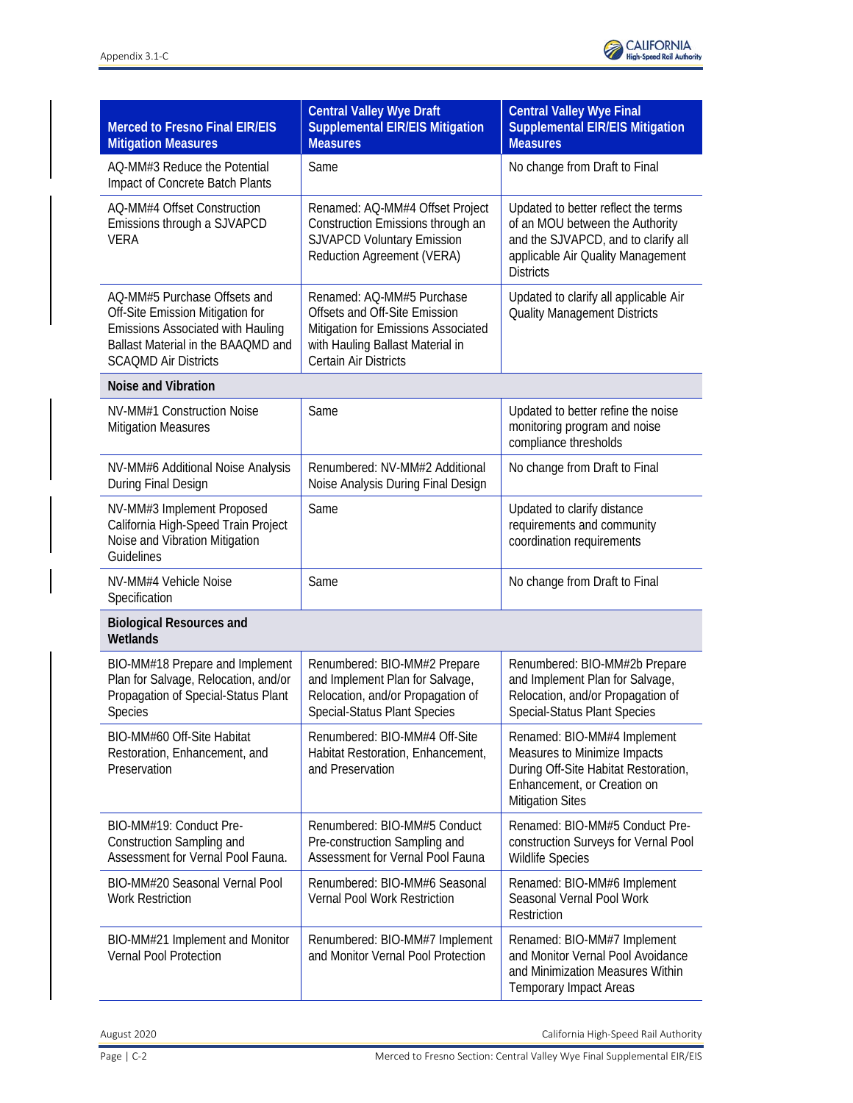

| <b>Merced to Fresno Final EIR/EIS</b><br><b>Mitigation Measures</b>                                                                                                        | <b>Central Valley Wye Draft</b><br><b>Supplemental EIR/EIS Mitigation</b><br><b>Measures</b>                                                                                                                                                   | <b>Central Valley Wye Final</b><br><b>Supplemental EIR/EIS Mitigation</b><br><b>Measures</b>                                                                           |
|----------------------------------------------------------------------------------------------------------------------------------------------------------------------------|------------------------------------------------------------------------------------------------------------------------------------------------------------------------------------------------------------------------------------------------|------------------------------------------------------------------------------------------------------------------------------------------------------------------------|
| AQ-MM#3 Reduce the Potential<br>Impact of Concrete Batch Plants                                                                                                            | Same                                                                                                                                                                                                                                           | No change from Draft to Final                                                                                                                                          |
| AQ-MM#4 Offset Construction<br>Emissions through a SJVAPCD<br><b>VERA</b>                                                                                                  | Renamed: AQ-MM#4 Offset Project<br>Construction Emissions through an<br><b>SJVAPCD Voluntary Emission</b><br>Reduction Agreement (VERA)                                                                                                        | Updated to better reflect the terms<br>of an MOU between the Authority<br>and the SJVAPCD, and to clarify all<br>applicable Air Quality Management<br><b>Districts</b> |
| AQ-MM#5 Purchase Offsets and<br>Off-Site Emission Mitigation for<br>Emissions Associated with Hauling<br>Ballast Material in the BAAQMD and<br><b>SCAQMD Air Districts</b> | Renamed: AQ-MM#5 Purchase<br>Updated to clarify all applicable Air<br><b>Quality Management Districts</b><br>Offsets and Off-Site Emission<br>Mitigation for Emissions Associated<br>with Hauling Ballast Material in<br>Certain Air Districts |                                                                                                                                                                        |
| Noise and Vibration                                                                                                                                                        |                                                                                                                                                                                                                                                |                                                                                                                                                                        |
| NV-MM#1 Construction Noise<br><b>Mitigation Measures</b>                                                                                                                   | Same                                                                                                                                                                                                                                           | Updated to better refine the noise<br>monitoring program and noise<br>compliance thresholds                                                                            |
| NV-MM#6 Additional Noise Analysis<br>During Final Design                                                                                                                   | Renumbered: NV-MM#2 Additional<br>Noise Analysis During Final Design                                                                                                                                                                           | No change from Draft to Final                                                                                                                                          |
| NV-MM#3 Implement Proposed<br>California High-Speed Train Project<br>Noise and Vibration Mitigation<br>Guidelines                                                          | Same                                                                                                                                                                                                                                           | Updated to clarify distance<br>requirements and community<br>coordination requirements                                                                                 |
| NV-MM#4 Vehicle Noise<br>Specification                                                                                                                                     | Same                                                                                                                                                                                                                                           | No change from Draft to Final                                                                                                                                          |
| <b>Biological Resources and</b><br>Wetlands                                                                                                                                |                                                                                                                                                                                                                                                |                                                                                                                                                                        |
| BIO-MM#18 Prepare and Implement<br>Plan for Salvage, Relocation, and/or<br>Propagation of Special-Status Plant<br><b>Species</b>                                           | Renumbered: BIO-MM#2 Prepare<br>and Implement Plan for Salvage,<br>Relocation, and/or Propagation of<br><b>Special-Status Plant Species</b>                                                                                                    | Renumbered: BIO-MM#2b Prepare<br>and Implement Plan for Salvage,<br>Relocation, and/or Propagation of<br><b>Special-Status Plant Species</b>                           |
| BIO-MM#60 Off-Site Habitat<br>Restoration, Enhancement, and<br>Preservation                                                                                                | Renumbered: BIO-MM#4 Off-Site<br>Habitat Restoration, Enhancement,<br>and Preservation                                                                                                                                                         | Renamed: BIO-MM#4 Implement<br>Measures to Minimize Impacts<br>During Off-Site Habitat Restoration,<br>Enhancement, or Creation on<br><b>Mitigation Sites</b>          |
| BIO-MM#19: Conduct Pre-<br>Construction Sampling and<br>Assessment for Vernal Pool Fauna.                                                                                  | Renumbered: BIO-MM#5 Conduct<br>Pre-construction Sampling and<br>Assessment for Vernal Pool Fauna                                                                                                                                              | Renamed: BIO-MM#5 Conduct Pre-<br>construction Surveys for Vernal Pool<br><b>Wildlife Species</b>                                                                      |
| BIO-MM#20 Seasonal Vernal Pool<br><b>Work Restriction</b>                                                                                                                  | Renumbered: BIO-MM#6 Seasonal<br>Vernal Pool Work Restriction                                                                                                                                                                                  | Renamed: BIO-MM#6 Implement<br>Seasonal Vernal Pool Work<br>Restriction                                                                                                |
| BIO-MM#21 Implement and Monitor<br>Vernal Pool Protection                                                                                                                  | Renumbered: BIO-MM#7 Implement<br>and Monitor Vernal Pool Protection                                                                                                                                                                           | Renamed: BIO-MM#7 Implement<br>and Monitor Vernal Pool Avoidance<br>and Minimization Measures Within<br><b>Temporary Impact Areas</b>                                  |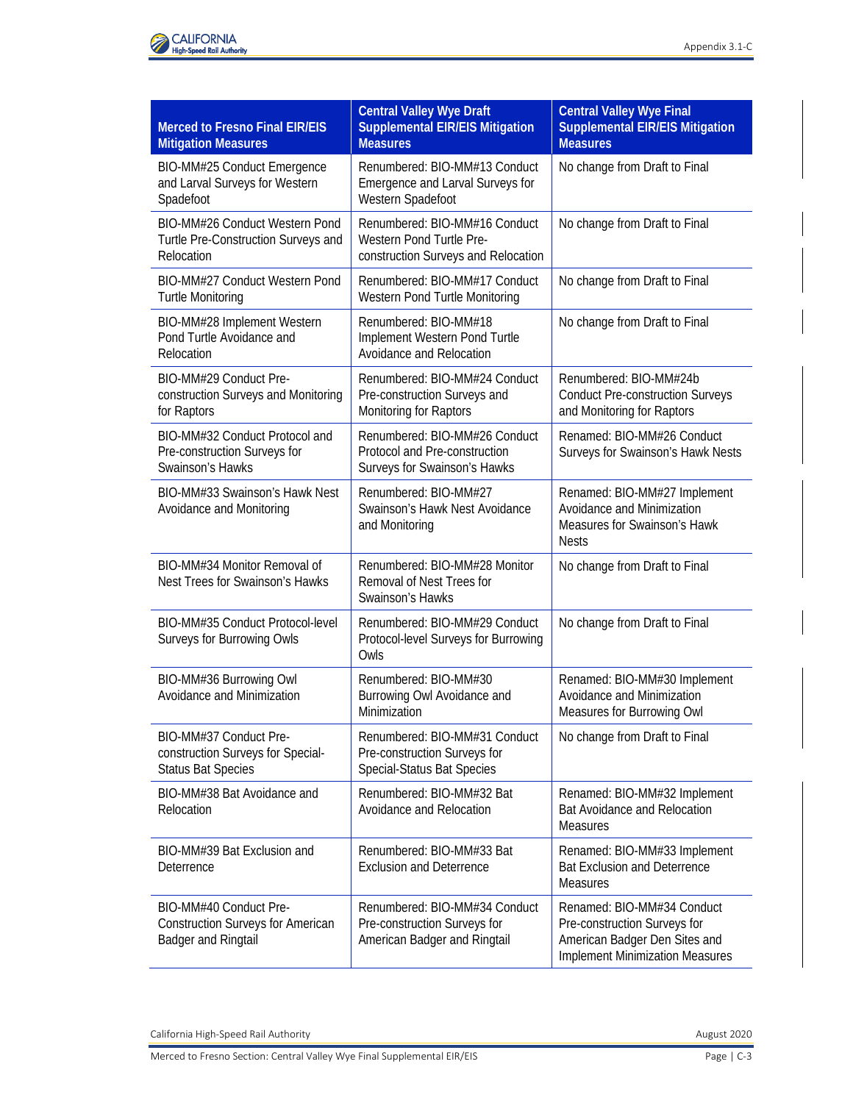

| <b>Merced to Fresno Final EIR/EIS</b><br><b>Mitigation Measures</b>                              | <b>Central Valley Wye Draft</b><br><b>Supplemental EIR/EIS Mitigation</b><br><b>Measures</b>     | <b>Central Valley Wye Final</b><br><b>Supplemental EIR/EIS Mitigation</b><br><b>Measures</b>                                          |
|--------------------------------------------------------------------------------------------------|--------------------------------------------------------------------------------------------------|---------------------------------------------------------------------------------------------------------------------------------------|
| BIO-MM#25 Conduct Emergence<br>and Larval Surveys for Western<br>Spadefoot                       | Renumbered: BIO-MM#13 Conduct<br>Emergence and Larval Surveys for<br>Western Spadefoot           | No change from Draft to Final                                                                                                         |
| BIO-MM#26 Conduct Western Pond<br>Turtle Pre-Construction Surveys and<br>Relocation              | Renumbered: BIO-MM#16 Conduct<br>Western Pond Turtle Pre-<br>construction Surveys and Relocation | No change from Draft to Final                                                                                                         |
| BIO-MM#27 Conduct Western Pond<br><b>Turtle Monitoring</b>                                       | Renumbered: BIO-MM#17 Conduct<br>Western Pond Turtle Monitoring                                  | No change from Draft to Final                                                                                                         |
| BIO-MM#28 Implement Western<br>Pond Turtle Avoidance and<br>Relocation                           | Renumbered: BIO-MM#18<br>Implement Western Pond Turtle<br>Avoidance and Relocation               | No change from Draft to Final                                                                                                         |
| BIO-MM#29 Conduct Pre-<br>construction Surveys and Monitoring<br>for Raptors                     | Renumbered: BIO-MM#24 Conduct<br>Pre-construction Surveys and<br>Monitoring for Raptors          | Renumbered: BIO-MM#24b<br><b>Conduct Pre-construction Surveys</b><br>and Monitoring for Raptors                                       |
| BIO-MM#32 Conduct Protocol and<br>Pre-construction Surveys for<br>Swainson's Hawks               | Renumbered: BIO-MM#26 Conduct<br>Protocol and Pre-construction<br>Surveys for Swainson's Hawks   | Renamed: BIO-MM#26 Conduct<br>Surveys for Swainson's Hawk Nests                                                                       |
| BIO-MM#33 Swainson's Hawk Nest<br>Avoidance and Monitoring                                       | Renumbered: BIO-MM#27<br>Swainson's Hawk Nest Avoidance<br>and Monitoring                        | Renamed: BIO-MM#27 Implement<br>Avoidance and Minimization<br>Measures for Swainson's Hawk<br><b>Nests</b>                            |
| BIO-MM#34 Monitor Removal of<br>Nest Trees for Swainson's Hawks                                  | Renumbered: BIO-MM#28 Monitor<br>Removal of Nest Trees for<br>Swainson's Hawks                   | No change from Draft to Final                                                                                                         |
| BIO-MM#35 Conduct Protocol-level<br>Surveys for Burrowing Owls                                   | Renumbered: BIO-MM#29 Conduct<br>Protocol-level Surveys for Burrowing<br>Owls                    | No change from Draft to Final                                                                                                         |
| BIO-MM#36 Burrowing Owl<br>Avoidance and Minimization                                            | Renumbered: BIO-MM#30<br>Burrowing Owl Avoidance and<br>Minimization                             | Renamed: BIO-MM#30 Implement<br>Avoidance and Minimization<br>Measures for Burrowing Owl                                              |
| BIO-MM#37 Conduct Pre-<br>construction Surveys for Special-<br><b>Status Bat Species</b>         | Renumbered: BIO-MM#31 Conduct<br>Pre-construction Surveys for<br>Special-Status Bat Species      | No change from Draft to Final                                                                                                         |
| BIO-MM#38 Bat Avoidance and<br>Relocation                                                        | Renumbered: BIO-MM#32 Bat<br>Avoidance and Relocation                                            | Renamed: BIO-MM#32 Implement<br>Bat Avoidance and Relocation<br><b>Measures</b>                                                       |
| BIO-MM#39 Bat Exclusion and<br>Deterrence                                                        | Renumbered: BIO-MM#33 Bat<br><b>Exclusion and Deterrence</b>                                     | Renamed: BIO-MM#33 Implement<br><b>Bat Exclusion and Deterrence</b><br>Measures                                                       |
| BIO-MM#40 Conduct Pre-<br><b>Construction Surveys for American</b><br><b>Badger and Ringtail</b> | Renumbered: BIO-MM#34 Conduct<br>Pre-construction Surveys for<br>American Badger and Ringtail    | Renamed: BIO-MM#34 Conduct<br>Pre-construction Surveys for<br>American Badger Den Sites and<br><b>Implement Minimization Measures</b> |

California High-Speed Rail Authority **August 2020** 

Merced to Fresno Section: Central Valley Wye Final Supplemental EIR/EIS Page | C-3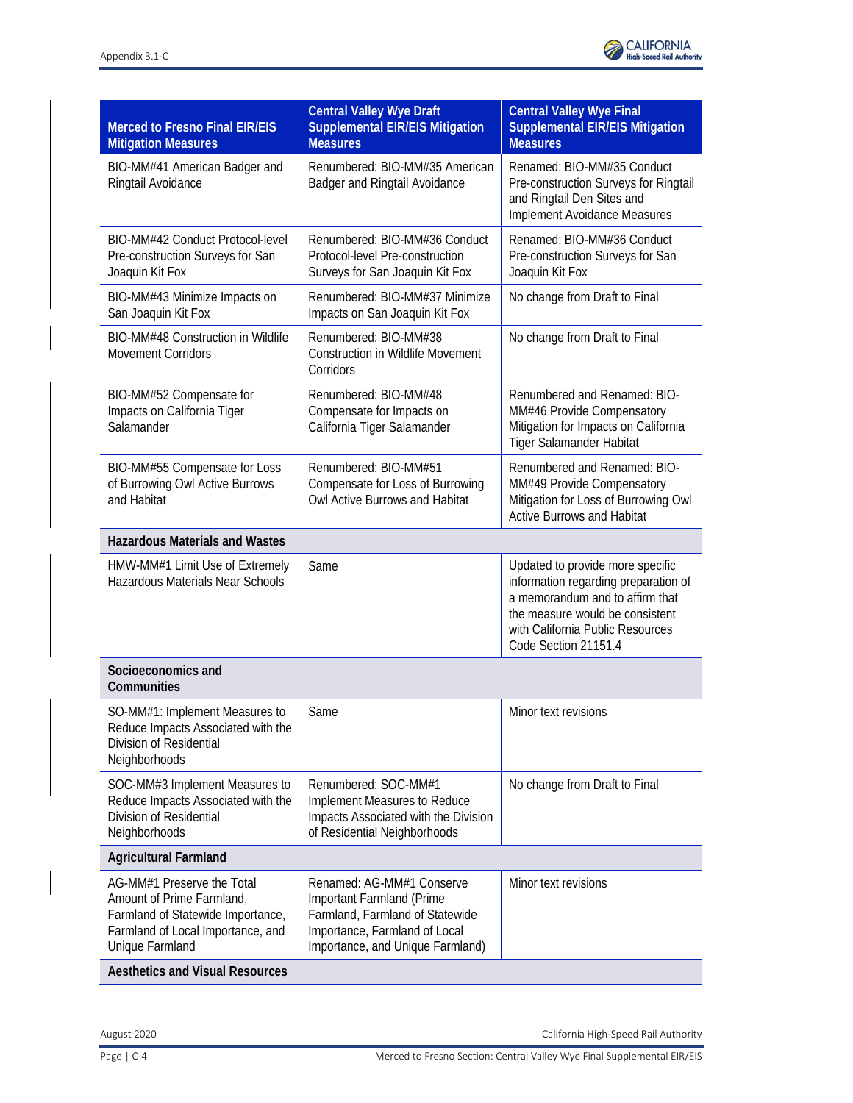

| <b>Merced to Fresno Final EIR/EIS</b><br><b>Mitigation Measures</b>                                                                                  | <b>Central Valley Wye Draft</b><br><b>Supplemental EIR/EIS Mitigation</b><br><b>Measures</b>                                                                   | <b>Central Valley Wye Final</b><br><b>Supplemental EIR/EIS Mitigation</b><br><b>Measures</b>                                                                                                               |
|------------------------------------------------------------------------------------------------------------------------------------------------------|----------------------------------------------------------------------------------------------------------------------------------------------------------------|------------------------------------------------------------------------------------------------------------------------------------------------------------------------------------------------------------|
| BIO-MM#41 American Badger and<br>Ringtail Avoidance                                                                                                  | Renumbered: BIO-MM#35 American<br>Badger and Ringtail Avoidance                                                                                                | Renamed: BIO-MM#35 Conduct<br>Pre-construction Surveys for Ringtail<br>and Ringtail Den Sites and<br>Implement Avoidance Measures                                                                          |
| BIO-MM#42 Conduct Protocol-level<br>Pre-construction Surveys for San<br>Joaquin Kit Fox                                                              | Renumbered: BIO-MM#36 Conduct<br>Protocol-level Pre-construction<br>Surveys for San Joaquin Kit Fox                                                            | Renamed: BIO-MM#36 Conduct<br>Pre-construction Surveys for San<br>Joaquin Kit Fox                                                                                                                          |
| BIO-MM#43 Minimize Impacts on<br>San Joaquin Kit Fox                                                                                                 | Renumbered: BIO-MM#37 Minimize<br>Impacts on San Joaquin Kit Fox                                                                                               | No change from Draft to Final                                                                                                                                                                              |
| BIO-MM#48 Construction in Wildlife<br><b>Movement Corridors</b>                                                                                      | Renumbered: BIO-MM#38<br><b>Construction in Wildlife Movement</b><br>Corridors                                                                                 | No change from Draft to Final                                                                                                                                                                              |
| BIO-MM#52 Compensate for<br>Impacts on California Tiger<br>Salamander                                                                                | Renumbered: BIO-MM#48<br>Compensate for Impacts on<br>California Tiger Salamander                                                                              | Renumbered and Renamed: BIO-<br>MM#46 Provide Compensatory<br>Mitigation for Impacts on California<br><b>Tiger Salamander Habitat</b>                                                                      |
| BIO-MM#55 Compensate for Loss<br>of Burrowing Owl Active Burrows<br>and Habitat                                                                      | Renumbered: BIO-MM#51<br>Compensate for Loss of Burrowing<br>Owl Active Burrows and Habitat                                                                    | Renumbered and Renamed: BIO-<br>MM#49 Provide Compensatory<br>Mitigation for Loss of Burrowing Owl<br><b>Active Burrows and Habitat</b>                                                                    |
| <b>Hazardous Materials and Wastes</b>                                                                                                                |                                                                                                                                                                |                                                                                                                                                                                                            |
| HMW-MM#1 Limit Use of Extremely<br><b>Hazardous Materials Near Schools</b>                                                                           | Same                                                                                                                                                           | Updated to provide more specific<br>information regarding preparation of<br>a memorandum and to affirm that<br>the measure would be consistent<br>with California Public Resources<br>Code Section 21151.4 |
| Socioeconomics and<br>Communities                                                                                                                    |                                                                                                                                                                |                                                                                                                                                                                                            |
| SO-MM#1: Implement Measures to<br>Reduce Impacts Associated with the<br>Division of Residential<br>Neighborhoods                                     | Same                                                                                                                                                           | Minor text revisions                                                                                                                                                                                       |
| SOC-MM#3 Implement Measures to<br>Reduce Impacts Associated with the<br>Division of Residential<br>Neighborhoods                                     | Renumbered: SOC-MM#1<br>Implement Measures to Reduce<br>Impacts Associated with the Division<br>of Residential Neighborhoods                                   | No change from Draft to Final                                                                                                                                                                              |
| <b>Agricultural Farmland</b>                                                                                                                         |                                                                                                                                                                |                                                                                                                                                                                                            |
| AG-MM#1 Preserve the Total<br>Amount of Prime Farmland,<br>Farmland of Statewide Importance,<br>Farmland of Local Importance, and<br>Unique Farmland | Renamed: AG-MM#1 Conserve<br>Important Farmland (Prime<br>Farmland, Farmland of Statewide<br>Importance, Farmland of Local<br>Importance, and Unique Farmland) | Minor text revisions                                                                                                                                                                                       |
| <b>Aesthetics and Visual Resources</b>                                                                                                               |                                                                                                                                                                |                                                                                                                                                                                                            |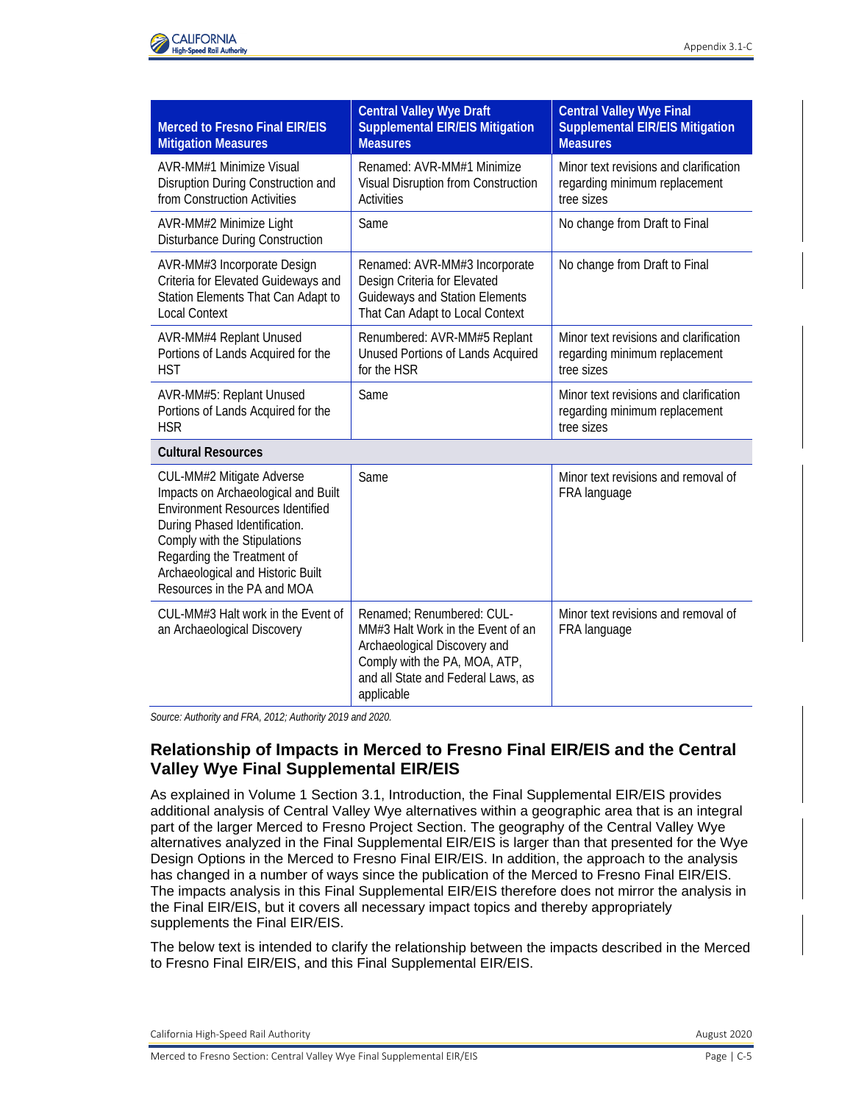

| <b>Merced to Fresno Final EIR/EIS</b><br><b>Mitigation Measures</b>                                                                                                                                                                                                            | <b>Central Valley Wye Draft</b><br><b>Supplemental EIR/EIS Mitigation</b><br><b>Measures</b>                                                                                        | <b>Central Valley Wye Final</b><br><b>Supplemental EIR/EIS Mitigation</b><br><b>Measures</b> |
|--------------------------------------------------------------------------------------------------------------------------------------------------------------------------------------------------------------------------------------------------------------------------------|-------------------------------------------------------------------------------------------------------------------------------------------------------------------------------------|----------------------------------------------------------------------------------------------|
| AVR-MM#1 Minimize Visual<br>Disruption During Construction and<br>from Construction Activities                                                                                                                                                                                 | Renamed: AVR-MM#1 Minimize<br>Visual Disruption from Construction<br><b>Activities</b>                                                                                              | Minor text revisions and clarification<br>regarding minimum replacement<br>tree sizes        |
| AVR-MM#2 Minimize Light<br><b>Disturbance During Construction</b>                                                                                                                                                                                                              | Same                                                                                                                                                                                | No change from Draft to Final                                                                |
| AVR-MM#3 Incorporate Design<br>Criteria for Elevated Guideways and<br>Station Elements That Can Adapt to<br><b>Local Context</b>                                                                                                                                               | Renamed: AVR-MM#3 Incorporate<br>No change from Draft to Final<br>Design Criteria for Elevated<br><b>Guideways and Station Elements</b><br>That Can Adapt to Local Context          |                                                                                              |
| AVR-MM#4 Replant Unused<br>Portions of Lands Acquired for the<br><b>HST</b>                                                                                                                                                                                                    | Renumbered: AVR-MM#5 Replant<br>Unused Portions of Lands Acquired<br>for the HSR                                                                                                    | Minor text revisions and clarification<br>regarding minimum replacement<br>tree sizes        |
| AVR-MM#5: Replant Unused<br>Portions of Lands Acquired for the<br><b>HSR</b>                                                                                                                                                                                                   | Same                                                                                                                                                                                | Minor text revisions and clarification<br>regarding minimum replacement<br>tree sizes        |
| <b>Cultural Resources</b>                                                                                                                                                                                                                                                      |                                                                                                                                                                                     |                                                                                              |
| CUL-MM#2 Mitigate Adverse<br>Impacts on Archaeological and Built<br><b>Environment Resources Identified</b><br>During Phased Identification.<br>Comply with the Stipulations<br>Regarding the Treatment of<br>Archaeological and Historic Built<br>Resources in the PA and MOA | Same                                                                                                                                                                                | Minor text revisions and removal of<br>FRA language                                          |
| CUL-MM#3 Halt work in the Event of<br>an Archaeological Discovery                                                                                                                                                                                                              | Renamed: Renumbered: CUL-<br>MM#3 Halt Work in the Event of an<br>Archaeological Discovery and<br>Comply with the PA, MOA, ATP,<br>and all State and Federal Laws, as<br>applicable | Minor text revisions and removal of<br>FRA language                                          |

*Source: Authority and FRA, 2012; Authority 2019 and 2020.* 

# **Relationship of Impacts in Merced to Fresno Final EIR/EIS and the Central Valley Wye Final Supplemental EIR/EIS**

As explained in Volume 1 Section 3.1, Introduction, the Final Supplemental EIR/EIS provides additional analysis of Central Valley Wye alternatives within a geographic area that is an integral part of the larger Merced to Fresno Project Section. The geography of the Central Valley Wye alternatives analyzed in the Final Supplemental EIR/EIS is larger than that presented for the Wye Design Options in the Merced to Fresno Final EIR/EIS. In addition, the approach to the analysis has changed in a number of ways since the publication of the Merced to Fresno Final EIR/EIS. The impacts analysis in this Final Supplemental EIR/EIS therefore does not mirror the analysis in the Final EIR/EIS, but it covers all necessary impact topics and thereby appropriately supplements the Final EIR/EIS.

The below text is intended to clarify the relationship between the impacts described in the Merced to Fresno Final EIR/EIS, and this Final Supplemental EIR/EIS.

California High-Speed Rail Authority **August 2020** California High-Speed Rail Authority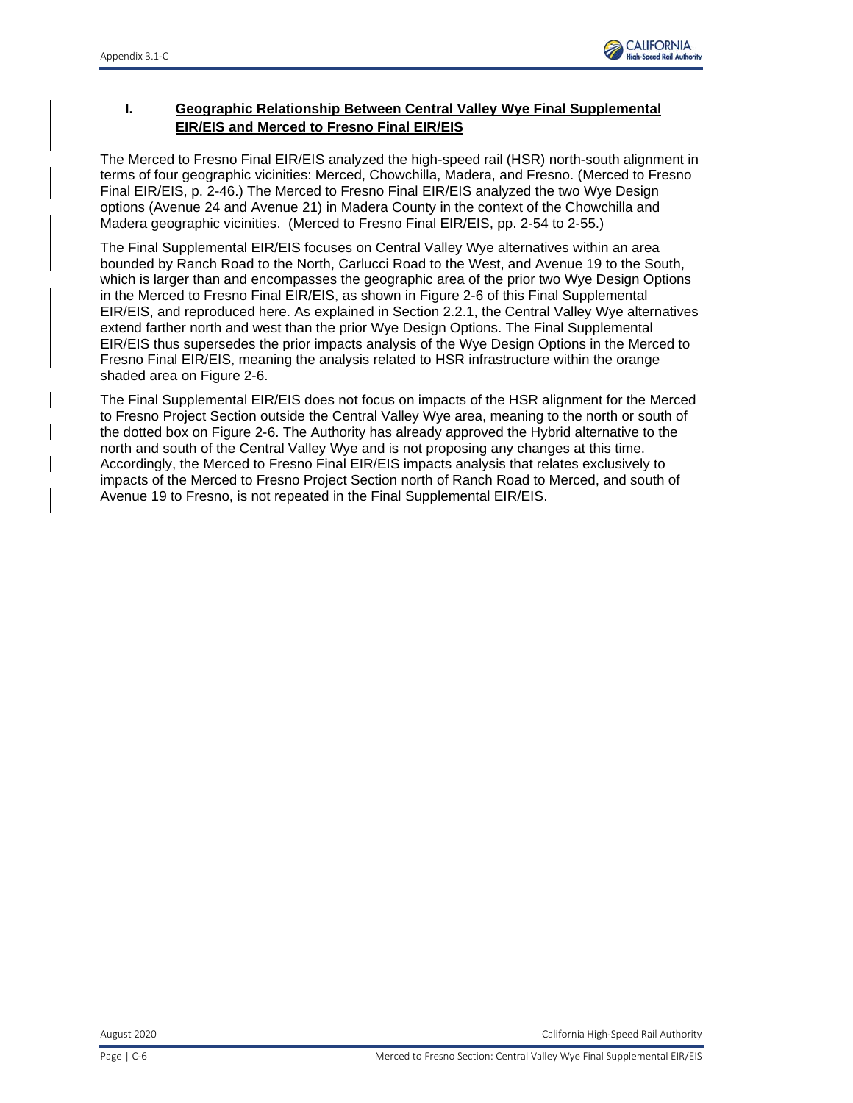

# **I. Geographic Relationship Between Central Valley Wye Final Supplemental EIR/EIS and Merced to Fresno Final EIR/EIS**

The Merced to Fresno Final EIR/EIS analyzed the high-speed rail (HSR) north-south alignment in terms of four geographic vicinities: Merced, Chowchilla, Madera, and Fresno. (Merced to Fresno Final EIR/EIS, p. 2-46.) The Merced to Fresno Final EIR/EIS analyzed the two Wye Design options (Avenue 24 and Avenue 21) in Madera County in the context of the Chowchilla and Madera geographic vicinities. (Merced to Fresno Final EIR/EIS, pp. 2-54 to 2-55.)

The Final Supplemental EIR/EIS focuses on Central Valley Wye alternatives within an area bounded by Ranch Road to the North, Carlucci Road to the West, and Avenue 19 to the South, which is larger than and encompasses the geographic area of the prior two Wye Design Options in the Merced to Fresno Final EIR/EIS, as shown in Figure 2-6 of this Final Supplemental EIR/EIS, and reproduced here. As explained in Section 2.2.1, the Central Valley Wye alternatives extend farther north and west than the prior Wye Design Options. The Final Supplemental EIR/EIS thus supersedes the prior impacts analysis of the Wye Design Options in the Merced to Fresno Final EIR/EIS, meaning the analysis related to HSR infrastructure within the orange shaded area on Figure 2-6.

The Final Supplemental EIR/EIS does not focus on impacts of the HSR alignment for the Merced to Fresno Project Section outside the Central Valley Wye area, meaning to the north or south of the dotted box on Figure 2-6. The Authority has already approved the Hybrid alternative to the north and south of the Central Valley Wye and is not proposing any changes at this time. Accordingly, the Merced to Fresno Final EIR/EIS impacts analysis that relates exclusively to impacts of the Merced to Fresno Project Section north of Ranch Road to Merced, and south of Avenue 19 to Fresno, is not repeated in the Final Supplemental EIR/EIS.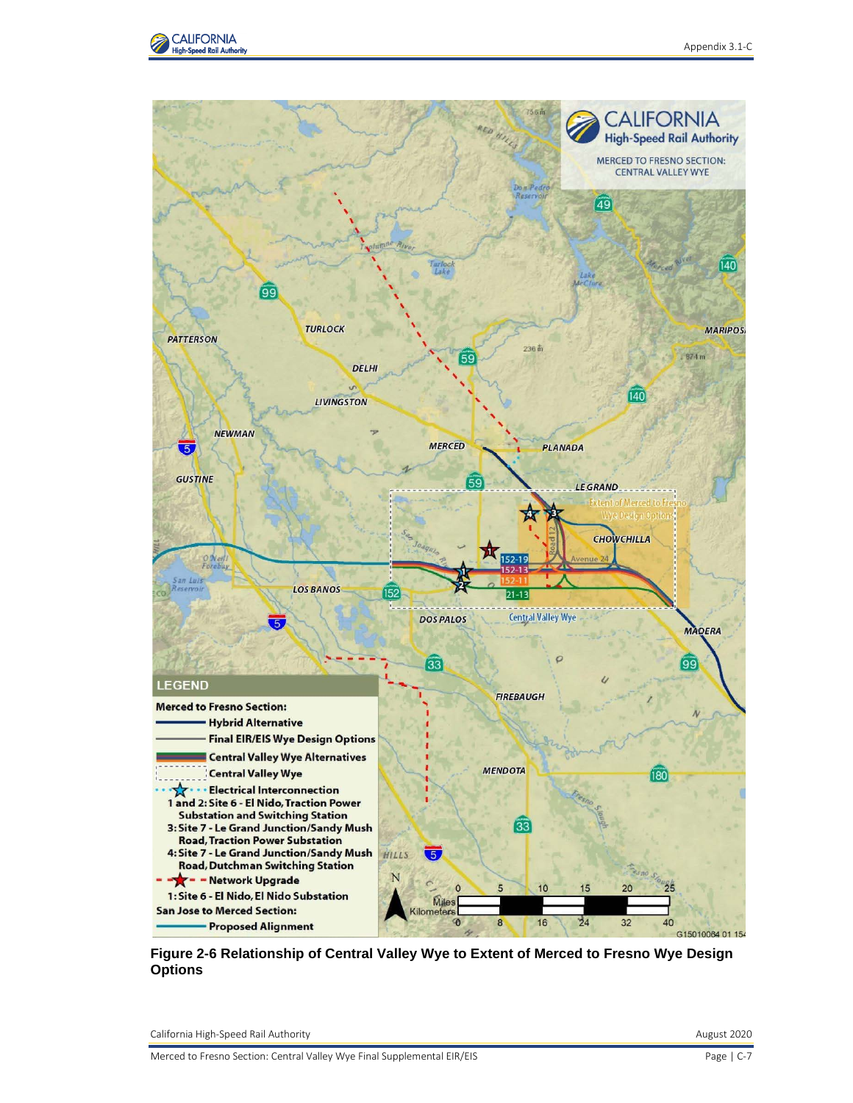



**Figure 2-6 Relationship of Central Valley Wye to Extent of Merced to Fresno Wye Design Options**

California High-Speed Rail Authority **August 2020 August 2020**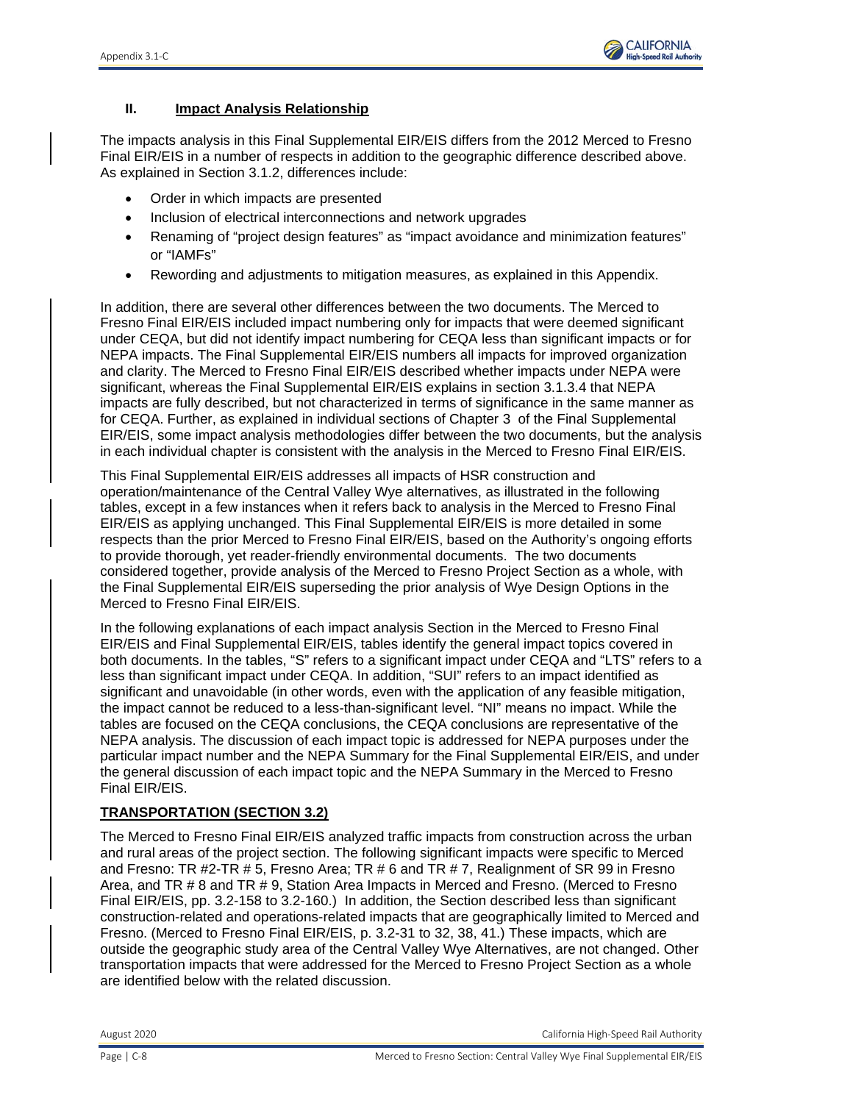

#### **II. Impact Analysis Relationship**

The impacts analysis in this Final Supplemental EIR/EIS differs from the 2012 Merced to Fresno Final EIR/EIS in a number of respects in addition to the geographic difference described above. As explained in Section 3.1.2, differences include:

- Order in which impacts are presented
- Inclusion of electrical interconnections and network upgrades
- Renaming of "project design features" as "impact avoidance and minimization features" or "IAMFs"
- Rewording and adjustments to mitigation measures, as explained in this Appendix.

In addition, there are several other differences between the two documents. The Merced to Fresno Final EIR/EIS included impact numbering only for impacts that were deemed significant under CEQA, but did not identify impact numbering for CEQA less than significant impacts or for NEPA impacts. The Final Supplemental EIR/EIS numbers all impacts for improved organization and clarity. The Merced to Fresno Final EIR/EIS described whether impacts under NEPA were significant, whereas the Final Supplemental EIR/EIS explains in section 3.1.3.4 that NEPA impacts are fully described, but not characterized in terms of significance in the same manner as for CEQA. Further, as explained in individual sections of Chapter 3 of the Final Supplemental EIR/EIS, some impact analysis methodologies differ between the two documents, but the analysis in each individual chapter is consistent with the analysis in the Merced to Fresno Final EIR/EIS.

This Final Supplemental EIR/EIS addresses all impacts of HSR construction and operation/maintenance of the Central Valley Wye alternatives, as illustrated in the following tables, except in a few instances when it refers back to analysis in the Merced to Fresno Final EIR/EIS as applying unchanged. This Final Supplemental EIR/EIS is more detailed in some respects than the prior Merced to Fresno Final EIR/EIS, based on the Authority's ongoing efforts to provide thorough, yet reader-friendly environmental documents. The two documents considered together, provide analysis of the Merced to Fresno Project Section as a whole, with the Final Supplemental EIR/EIS superseding the prior analysis of Wye Design Options in the Merced to Fresno Final EIR/EIS.

In the following explanations of each impact analysis Section in the Merced to Fresno Final EIR/EIS and Final Supplemental EIR/EIS, tables identify the general impact topics covered in both documents. In the tables, "S" refers to a significant impact under CEQA and "LTS" refers to a less than significant impact under CEQA. In addition, "SUI" refers to an impact identified as significant and unavoidable (in other words, even with the application of any feasible mitigation, the impact cannot be reduced to a less-than-significant level. "NI" means no impact. While the tables are focused on the CEQA conclusions, the CEQA conclusions are representative of the NEPA analysis. The discussion of each impact topic is addressed for NEPA purposes under the particular impact number and the NEPA Summary for the Final Supplemental EIR/EIS, and under the general discussion of each impact topic and the NEPA Summary in the Merced to Fresno Final EIR/EIS.

#### **TRANSPORTATION (SECTION 3.2)**

The Merced to Fresno Final EIR/EIS analyzed traffic impacts from construction across the urban and rural areas of the project section. The following significant impacts were specific to Merced and Fresno: TR #2-TR # 5, Fresno Area; TR # 6 and TR # 7, Realignment of SR 99 in Fresno Area, and TR # 8 and TR # 9, Station Area Impacts in Merced and Fresno. (Merced to Fresno Final EIR/EIS, pp. 3.2-158 to 3.2-160.) In addition, the Section described less than significant construction-related and operations-related impacts that are geographically limited to Merced and Fresno. (Merced to Fresno Final EIR/EIS, p. 3.2-31 to 32, 38, 41.) These impacts, which are outside the geographic study area of the Central Valley Wye Alternatives, are not changed. Other transportation impacts that were addressed for the Merced to Fresno Project Section as a whole are identified below with the related discussion.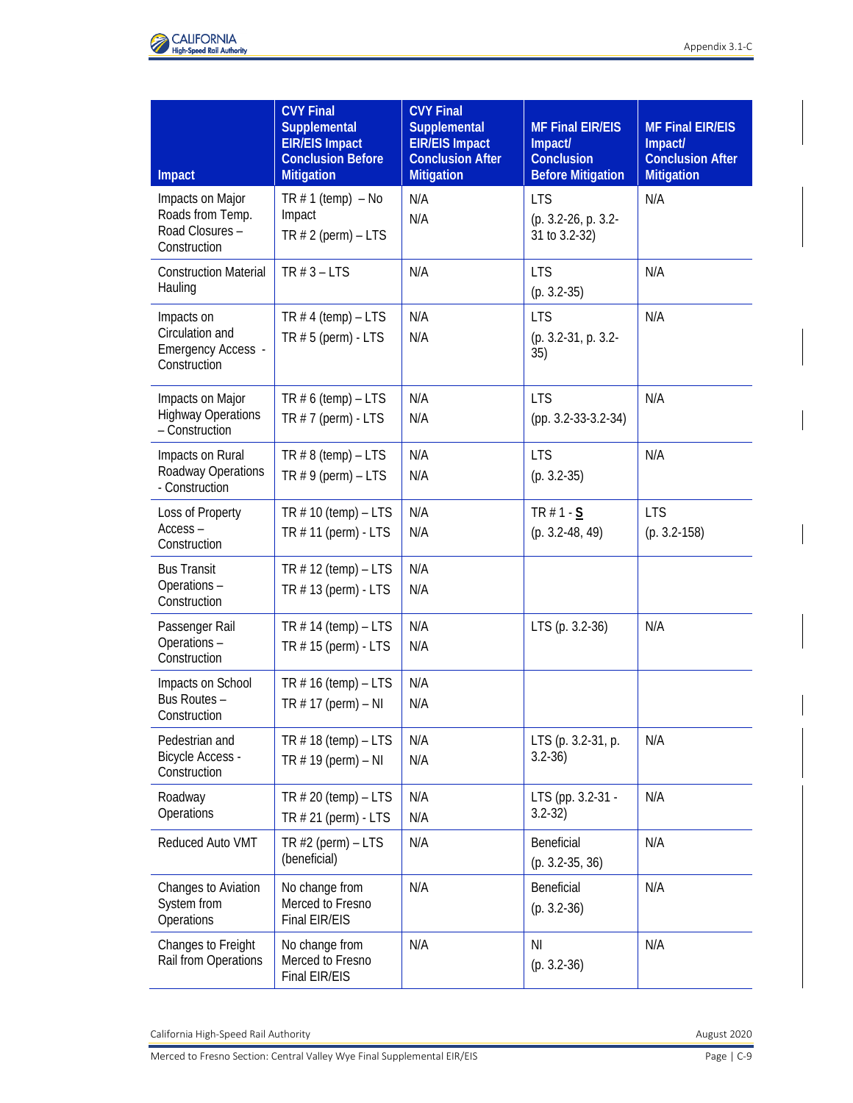

| <b>Impact</b>                                                              | <b>CVY Final</b><br>Supplemental<br><b>EIR/EIS Impact</b><br><b>Conclusion Before</b><br><b>Mitigation</b> | <b>CVY Final</b><br><b>Supplemental</b><br><b>EIR/EIS Impact</b><br><b>Conclusion After</b><br><b>Mitigation</b> | <b>MF Final EIR/EIS</b><br>Impact/<br><b>Conclusion</b><br><b>Before Mitigation</b> | <b>MF Final EIR/EIS</b><br>Impact/<br><b>Conclusion After</b><br><b>Mitigation</b> |
|----------------------------------------------------------------------------|------------------------------------------------------------------------------------------------------------|------------------------------------------------------------------------------------------------------------------|-------------------------------------------------------------------------------------|------------------------------------------------------------------------------------|
| Impacts on Major<br>Roads from Temp.<br>Road Closures -<br>Construction    | TR $# 1$ (temp) $-$ No<br>Impact<br>TR $# 2$ (perm) – LTS                                                  | N/A<br>N/A                                                                                                       | <b>LTS</b><br>(p. 3.2-26, p. 3.2-<br>31 to 3.2-32)                                  | N/A                                                                                |
| <b>Construction Material</b><br>Hauling                                    | TR $# 3 - LTS$                                                                                             | N/A                                                                                                              | <b>LTS</b><br>$(p. 3.2 - 35)$                                                       | N/A                                                                                |
| Impacts on<br>Circulation and<br><b>Emergency Access -</b><br>Construction | TR $# 4$ (temp) $-$ LTS<br>TR $# 5$ (perm) - LTS                                                           | N/A<br>N/A                                                                                                       | <b>LTS</b><br>(p. 3.2-31, p. 3.2-<br>35)                                            | N/A                                                                                |
| Impacts on Major<br><b>Highway Operations</b><br>- Construction            | TR $# 6$ (temp) – LTS<br>TR $# 7$ (perm) - LTS                                                             | N/A<br>N/A                                                                                                       | <b>LTS</b><br>$(pp. 3.2-33-3.2-34)$                                                 | N/A                                                                                |
| Impacts on Rural<br>Roadway Operations<br>- Construction                   | TR $# 8$ (temp) $-$ LTS<br>TR $# 9$ (perm) – LTS                                                           | N/A<br>N/A                                                                                                       | <b>LTS</b><br>$(p. 3.2 - 35)$                                                       | N/A                                                                                |
| Loss of Property<br>Access-<br>Construction                                | TR $# 10$ (temp) $-$ LTS<br>TR $# 11$ (perm) - LTS                                                         | N/A<br>N/A                                                                                                       | TR $# 1 - S$<br>$(p. 3.2-48, 49)$                                                   | <b>LTS</b><br>$(p. 3.2 - 158)$                                                     |
| <b>Bus Transit</b><br>Operations -<br>Construction                         | TR $# 12$ (temp) – LTS<br>TR $# 13$ (perm) - LTS                                                           | N/A<br>N/A                                                                                                       |                                                                                     |                                                                                    |
| Passenger Rail<br>Operations -<br>Construction                             | TR $#$ 14 (temp) – LTS<br>TR # 15 (perm) - LTS                                                             | N/A<br>N/A                                                                                                       | LTS (p. 3.2-36)                                                                     | N/A                                                                                |
| Impacts on School<br>Bus Routes -<br>Construction                          | TR $# 16$ (temp) $-$ LTS<br>TR $# 17$ (perm) – NI                                                          | N/A<br>N/A                                                                                                       |                                                                                     |                                                                                    |
| Pedestrian and<br><b>Bicycle Access -</b><br>Construction                  | TR $#$ 18 (temp) – LTS<br>TR $# 19$ (perm) – NI                                                            | N/A<br>N/A                                                                                                       | LTS (p. 3.2-31, p.<br>$3.2 - 36$                                                    | N/A                                                                                |
| Roadway<br>Operations                                                      | TR $# 20$ (temp) $-$ LTS<br>TR $# 21$ (perm) - LTS                                                         | N/A<br>N/A                                                                                                       | LTS (pp. 3.2-31 -<br>$3.2 - 32$                                                     | N/A                                                                                |
| Reduced Auto VMT                                                           | TR $#2$ (perm) $-$ LTS<br>(beneficial)                                                                     | N/A                                                                                                              | Beneficial<br>$(p. 3.2-35, 36)$                                                     | N/A                                                                                |
| Changes to Aviation<br>System from<br>Operations                           | No change from<br>Merced to Fresno<br>Final EIR/EIS                                                        | N/A                                                                                                              | Beneficial<br>$(p. 3.2-36)$                                                         | N/A                                                                                |
| Changes to Freight<br>Rail from Operations                                 | No change from<br>Merced to Fresno<br>Final EIR/EIS                                                        | N/A                                                                                                              | N <sub>l</sub><br>$(p. 3.2-36)$                                                     | N/A                                                                                |

California High-Speed Rail Authority **August 2020**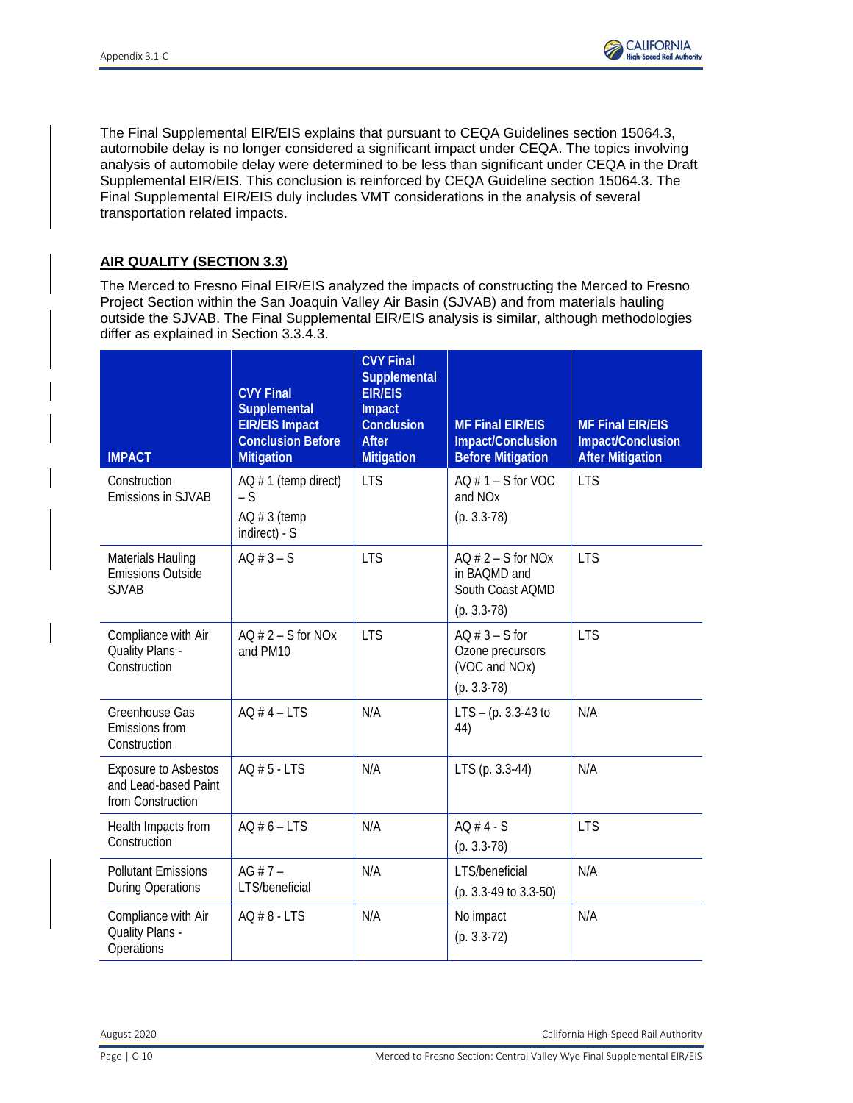

The Final Supplemental EIR/EIS explains that pursuant to CEQA Guidelines section 15064.3, automobile delay is no longer considered a significant impact under CEQA. The topics involving analysis of automobile delay were determined to be less than significant under CEQA in the Draft Supplemental EIR/EIS. This conclusion is reinforced by CEQA Guideline section 15064.3. The Final Supplemental EIR/EIS duly includes VMT considerations in the analysis of several transportation related impacts.

### **AIR QUALITY (SECTION 3.3)**

The Merced to Fresno Final EIR/EIS analyzed the impacts of constructing the Merced to Fresno Project Section within the San Joaquin Valley Air Basin (SJVAB) and from materials hauling outside the SJVAB. The Final Supplemental EIR/EIS analysis is similar, although methodologies differ as explained in Section 3.3.4.3.

| <b>IMPACT</b>                                                            | <b>CVY Final</b><br><b>Supplemental</b><br><b>EIR/EIS Impact</b><br><b>Conclusion Before</b><br><b>Mitigation</b> | <b>CVY Final</b><br>Supplemental<br><b>EIR/EIS</b><br>Impact<br><b>Conclusion</b><br><b>After</b><br><b>Mitigation</b> | <b>MF Final EIR/EIS</b><br>Impact/Conclusion<br><b>Before Mitigation</b>   | <b>MF Final EIR/EIS</b><br><b>Impact/Conclusion</b><br><b>After Mitigation</b> |
|--------------------------------------------------------------------------|-------------------------------------------------------------------------------------------------------------------|------------------------------------------------------------------------------------------------------------------------|----------------------------------------------------------------------------|--------------------------------------------------------------------------------|
| Construction<br>Emissions in SJVAB                                       | $AO \# 1$ (temp direct)<br>$-S$<br>$AO \# 3$ (temp<br>indirect) - S                                               | <b>LTS</b>                                                                                                             | AQ $# 1 - S$ for VOC<br>and $NOx$<br>$(p. 3.3-78)$                         | <b>LTS</b>                                                                     |
| <b>Materials Hauling</b><br><b>Emissions Outside</b><br><b>SJVAB</b>     | $AO # 3 - S$                                                                                                      | <b>LTS</b>                                                                                                             | $AO \# 2 - S$ for NOx<br>in BAQMD and<br>South Coast AQMD<br>$(p. 3.3-78)$ | <b>LTS</b>                                                                     |
| Compliance with Air<br><b>Quality Plans -</b><br>Construction            | $AO # 2 - S$ for NOx<br>and PM10                                                                                  | <b>LTS</b>                                                                                                             | $AO \# 3 - S$ for<br>Ozone precursors<br>(VOC and NOx)<br>$(p. 3.3-78)$    | <b>LTS</b>                                                                     |
| Greenhouse Gas<br><b>Emissions from</b><br>Construction                  | $AO # 4 - LTS$                                                                                                    | N/A                                                                                                                    | $LTS - (p. 3.3-43 to$<br>44)                                               | N/A                                                                            |
| <b>Exposure to Asbestos</b><br>and Lead-based Paint<br>from Construction | AQ # 5 - LTS                                                                                                      | N/A                                                                                                                    | LTS (p. 3.3-44)                                                            | N/A                                                                            |
| Health Impacts from<br>Construction                                      | $AO # 6 - LTS$                                                                                                    | N/A                                                                                                                    | $AO # 4 - S$<br>$(p. 3.3-78)$                                              | <b>LTS</b>                                                                     |
| <b>Pollutant Emissions</b><br><b>During Operations</b>                   | AG # $7 -$<br>LTS/beneficial                                                                                      | N/A                                                                                                                    | LTS/beneficial<br>$(p. 3.3-49 to 3.3-50)$                                  | N/A                                                                            |
| Compliance with Air<br>Quality Plans -<br>Operations                     | AQ # 8 - LTS                                                                                                      | N/A                                                                                                                    | No impact<br>$(p. 3.3-72)$                                                 | N/A                                                                            |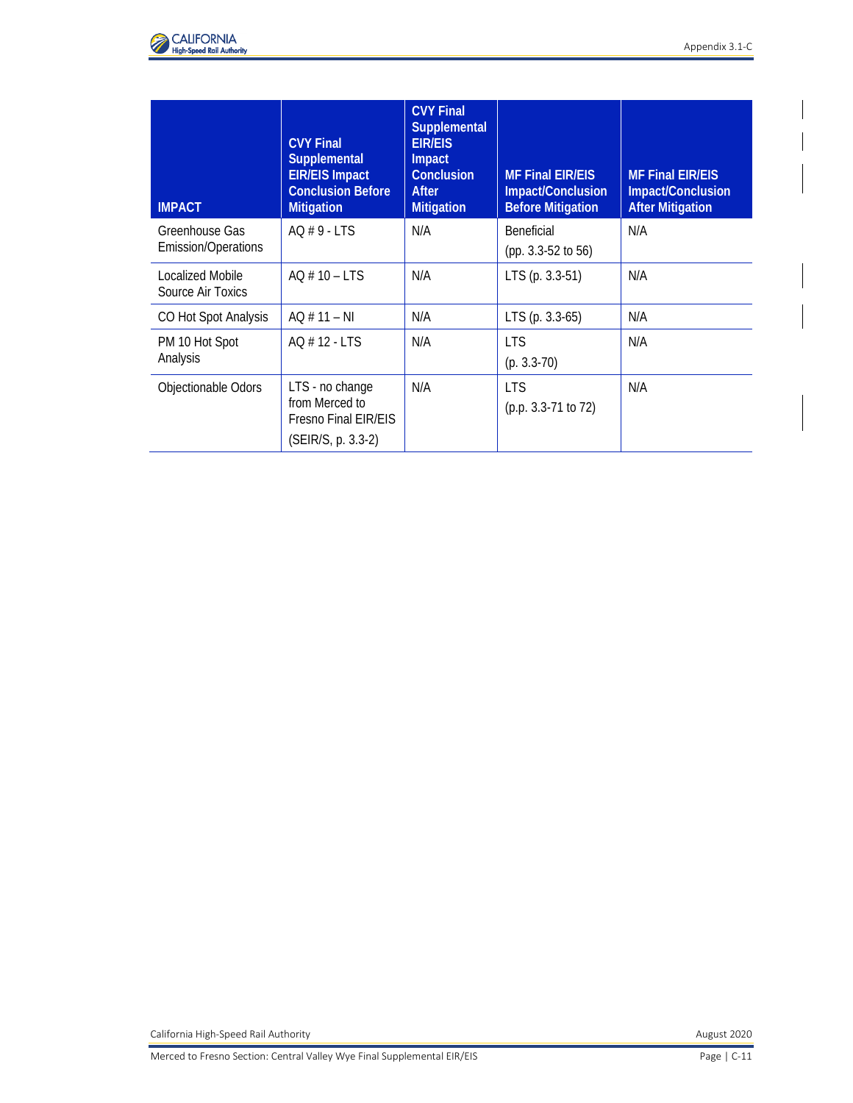

| <b>IMPACT</b>                                | <b>CVY Final</b><br><b>Supplemental</b><br><b>EIR/EIS Impact</b><br><b>Conclusion Before</b><br><b>Mitigation</b> | <b>CVY Final</b><br><b>Supplemental</b><br><b>EIR/EIS</b><br>Impact<br>Conclusion<br>After<br><b>Mitigation</b> | <b>MF Final EIR/EIS</b><br>Impact/Conclusion<br><b>Before Mitigation</b> | <b>MF Final EIR/EIS</b><br><b>Impact/Conclusion</b><br><b>After Mitigation</b> |
|----------------------------------------------|-------------------------------------------------------------------------------------------------------------------|-----------------------------------------------------------------------------------------------------------------|--------------------------------------------------------------------------|--------------------------------------------------------------------------------|
| Greenhouse Gas<br><b>Emission/Operations</b> | $AO$ #9 - LTS                                                                                                     | N/A                                                                                                             | <b>Beneficial</b><br>$(pp. 3.3-52 to 56)$                                | N/A                                                                            |
| Localized Mobile<br>Source Air Toxics        | $AO \# 10 - LTS$                                                                                                  | N/A                                                                                                             | LTS (p. 3.3-51)                                                          | N/A                                                                            |
| CO Hot Spot Analysis                         | $AO # 11 - NI$                                                                                                    | N/A                                                                                                             | LTS (p. 3.3-65)                                                          | N/A                                                                            |
| PM 10 Hot Spot<br>Analysis                   | AQ # 12 - LTS                                                                                                     | N/A                                                                                                             | <b>LTS</b><br>$(p. 3.3-70)$                                              | N/A                                                                            |
| Objectionable Odors                          | LTS - no change<br>from Merced to<br><b>Fresno Final EIR/EIS</b><br>(SEIR/S, p. 3.3-2)                            | N/A                                                                                                             | <b>LTS</b><br>$(p.p. 3.3-71 to 72)$                                      | N/A                                                                            |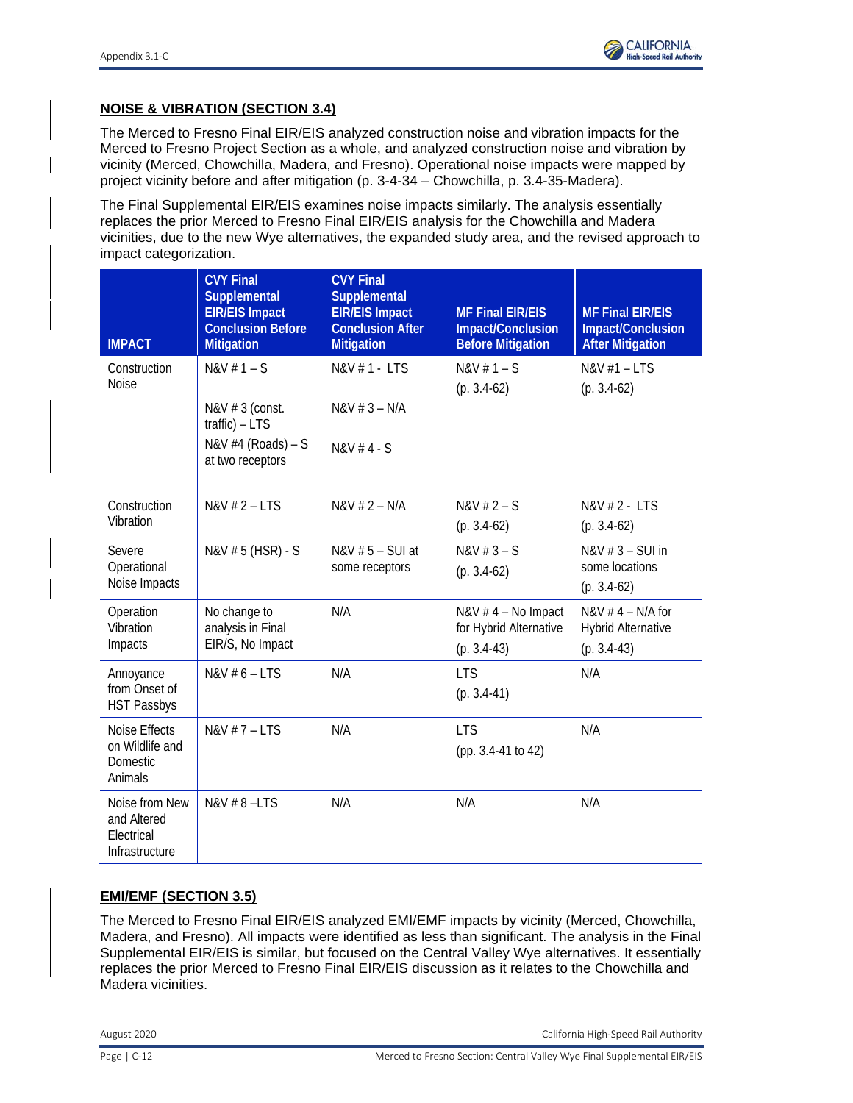## **NOISE & VIBRATION (SECTION 3.4)**

The Merced to Fresno Final EIR/EIS analyzed construction noise and vibration impacts for the Merced to Fresno Project Section as a whole, and analyzed construction noise and vibration by vicinity (Merced, Chowchilla, Madera, and Fresno). Operational noise impacts were mapped by project vicinity before and after mitigation (p. 3-4-34 – Chowchilla, p. 3.4-35-Madera).

The Final Supplemental EIR/EIS examines noise impacts similarly. The analysis essentially replaces the prior Merced to Fresno Final EIR/EIS analysis for the Chowchilla and Madera vicinities, due to the new Wye alternatives, the expanded study area, and the revised approach to impact categorization.

| <b>IMPACT</b>                                                  | <b>CVY Final</b><br>Supplemental<br><b>EIR/EIS Impact</b><br><b>Conclusion Before</b><br><b>Mitigation</b> | <b>CVY Final</b><br>Supplemental<br><b>EIR/EIS Impact</b><br><b>Conclusion After</b><br><b>Mitigation</b> | <b>MF Final EIR/EIS</b><br>Impact/Conclusion<br><b>Before Mitigation</b> | <b>MF Final EIR/EIS</b><br>Impact/Conclusion<br><b>After Mitigation</b> |
|----------------------------------------------------------------|------------------------------------------------------------------------------------------------------------|-----------------------------------------------------------------------------------------------------------|--------------------------------------------------------------------------|-------------------------------------------------------------------------|
| Construction<br><b>Noise</b>                                   | $N&V#1-S$<br>N&V # 3 (const.<br>$traffic$ ) – LTS<br>$N&V$ #4 (Roads) – S<br>at two receptors              | N&V #1 - LTS<br>$N&V # 3 - N/A$<br>N&V #4 - S                                                             | $N8V # 1 - S$<br>$(p. 3.4-62)$                                           | N&V #1 - LTS<br>$(p. 3.4-62)$                                           |
| Construction<br>Vibration                                      | N&V # 2 - LTS                                                                                              | $N&V# 2 - N/A$                                                                                            | $NAV # 2 - S$<br>$(p. 3.4-62)$                                           | N&V # 2 - LTS<br>$(p. 3.4-62)$                                          |
| Severe<br>Operational<br>Noise Impacts                         | N&V # 5 (HSR) - S                                                                                          | N&V $# 5 -$ SUI at<br>some receptors                                                                      | $N&V#3-S$<br>$(p. 3.4-62)$                                               | $N&V # 3 - SUI$ in<br>some locations<br>$(p. 3.4-62)$                   |
| Operation<br>Vibration<br>Impacts                              | No change to<br>analysis in Final<br>EIR/S, No Impact                                                      | N/A                                                                                                       | N&V #4 - No Impact<br>for Hybrid Alternative<br>$(p. 3.4-43)$            | N&V $#$ 4 - N/A for<br><b>Hybrid Alternative</b><br>$(p. 3.4-43)$       |
| Annoyance<br>from Onset of<br><b>HST Passbys</b>               | N&V # 6 - LTS                                                                                              | N/A                                                                                                       | <b>LTS</b><br>$(p. 3.4-41)$                                              | N/A                                                                     |
| Noise Effects<br>on Wildlife and<br><b>Domestic</b><br>Animals | N&V # 7 - LTS                                                                                              | N/A                                                                                                       | <b>LTS</b><br>(pp. 3.4-41 to 42)                                         | N/A                                                                     |
| Noise from New<br>and Altered<br>Electrical<br>Infrastructure  | N&V # 8-LTS                                                                                                | N/A                                                                                                       | N/A                                                                      | N/A                                                                     |

## **EMI/EMF (SECTION 3.5)**

The Merced to Fresno Final EIR/EIS analyzed EMI/EMF impacts by vicinity (Merced, Chowchilla, Madera, and Fresno). All impacts were identified as less than significant. The analysis in the Final Supplemental EIR/EIS is similar, but focused on the Central Valley Wye alternatives. It essentially replaces the prior Merced to Fresno Final EIR/EIS discussion as it relates to the Chowchilla and Madera vicinities.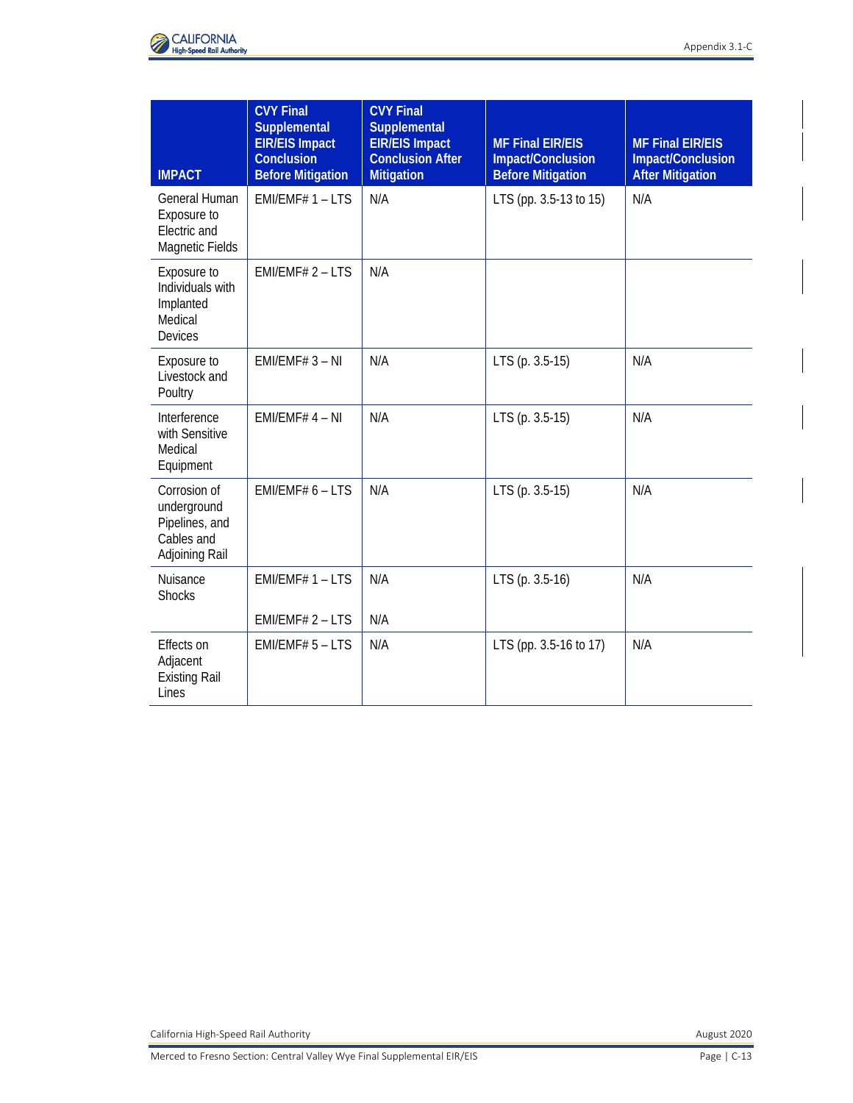

| <b>IMPACT</b>                                                                 | <b>CVY Final</b><br>Supplemental<br><b>EIR/EIS Impact</b><br><b>Conclusion</b><br><b>Before Mitigation</b> | <b>CVY Final</b><br><b>Supplemental</b><br><b>EIR/EIS Impact</b><br><b>Conclusion After</b><br><b>Mitigation</b> | <b>MF Final EIR/EIS</b><br>Impact/Conclusion<br><b>Before Mitigation</b> | <b>MF Final EIR/EIS</b><br>Impact/Conclusion<br><b>After Mitigation</b> |
|-------------------------------------------------------------------------------|------------------------------------------------------------------------------------------------------------|------------------------------------------------------------------------------------------------------------------|--------------------------------------------------------------------------|-------------------------------------------------------------------------|
| <b>General Human</b><br>Exposure to<br>Electric and<br>Magnetic Fields        | $EMI/EMF# 1 - LTS$                                                                                         | N/A                                                                                                              | LTS (pp. 3.5-13 to 15)                                                   | N/A                                                                     |
| Exposure to<br>Individuals with<br>Implanted<br>Medical<br><b>Devices</b>     | $EMI/EMF# 2 - LTS$                                                                                         | N/A                                                                                                              |                                                                          |                                                                         |
| Exposure to<br>Livestock and<br>Poultry                                       | $EMI/EMF# 3 - NI$                                                                                          | N/A                                                                                                              | LTS (p. 3.5-15)                                                          | N/A                                                                     |
| Interference<br>with Sensitive<br>Medical<br>Equipment                        | $EMI/EMF# 4 - NI$                                                                                          | N/A                                                                                                              | LTS (p. 3.5-15)                                                          | N/A                                                                     |
| Corrosion of<br>underground<br>Pipelines, and<br>Cables and<br>Adjoining Rail | EMI/EMF# $6$ – LTS                                                                                         | N/A                                                                                                              | LTS (p. 3.5-15)                                                          | N/A                                                                     |
| Nuisance<br><b>Shocks</b>                                                     | $EMI/EMF# 1 - LTS$                                                                                         | N/A                                                                                                              | LTS (p. 3.5-16)                                                          | N/A                                                                     |
|                                                                               | EMI/EMF# 2 - LTS                                                                                           | N/A                                                                                                              |                                                                          |                                                                         |
| Effects on<br>Adjacent<br><b>Existing Rail</b><br>Lines                       | $EMI/EMF# 5 - LTS$                                                                                         | N/A                                                                                                              | LTS (pp. 3.5-16 to 17)                                                   | N/A                                                                     |

California High-Speed Rail Authority **August 2020**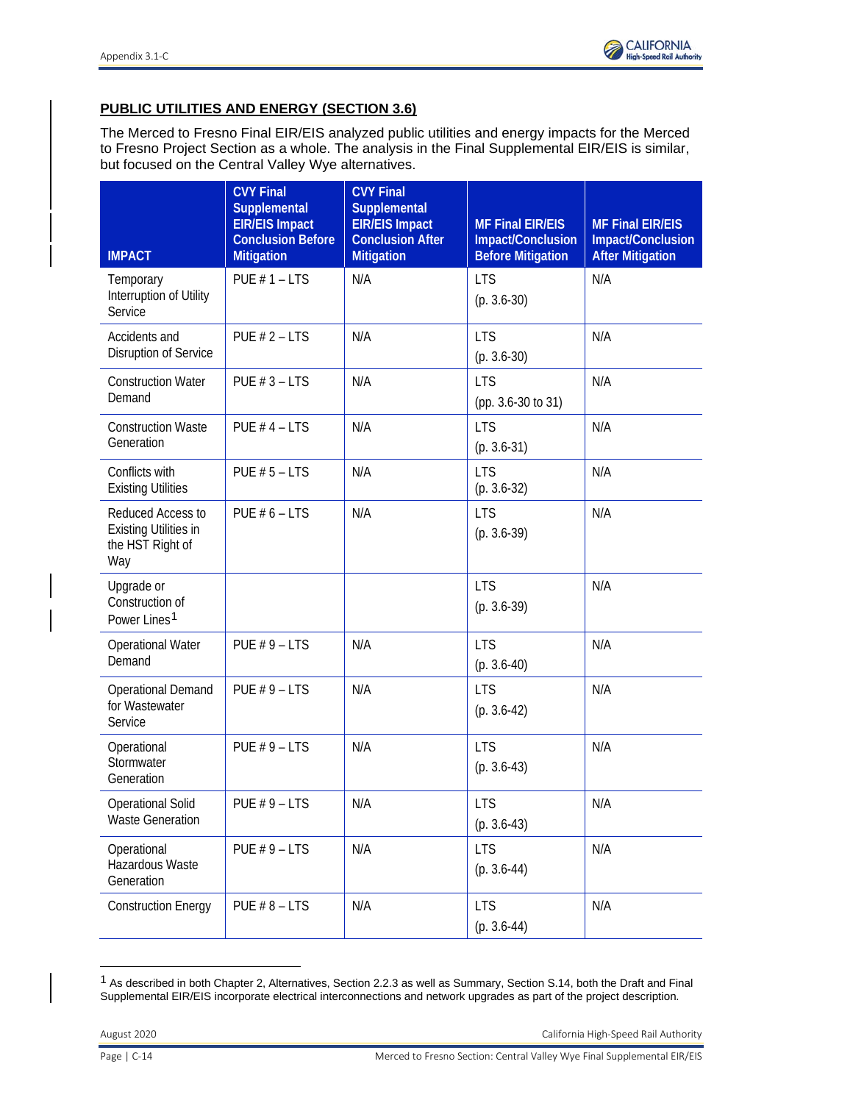# **PUBLIC UTILITIES AND ENERGY (SECTION 3.6)**

The Merced to Fresno Final EIR/EIS analyzed public utilities and energy impacts for the Merced to Fresno Project Section as a whole. The analysis in the Final Supplemental EIR/EIS is similar, but focused on the Central Valley Wye alternatives.

| <b>IMPACT</b>                                                                | <b>CVY Final</b><br><b>Supplemental</b><br><b>EIR/EIS Impact</b><br><b>Conclusion Before</b><br><b>Mitigation</b> | <b>CVY Final</b><br>Supplemental<br><b>EIR/EIS Impact</b><br><b>Conclusion After</b><br><b>Mitigation</b> | <b>MF Final EIR/EIS</b><br><b>Impact/Conclusion</b><br><b>Before Mitigation</b> | <b>MF Final EIR/EIS</b><br><b>Impact/Conclusion</b><br><b>After Mitigation</b> |
|------------------------------------------------------------------------------|-------------------------------------------------------------------------------------------------------------------|-----------------------------------------------------------------------------------------------------------|---------------------------------------------------------------------------------|--------------------------------------------------------------------------------|
| Temporary<br>Interruption of Utility<br>Service                              | PUE $# 1 - LTS$                                                                                                   | N/A                                                                                                       | <b>LTS</b><br>$(p. 3.6-30)$                                                     | N/A                                                                            |
| Accidents and<br>Disruption of Service                                       | PUE $# 2 - LTS$                                                                                                   | N/A                                                                                                       | <b>LTS</b><br>$(p. 3.6-30)$                                                     | N/A                                                                            |
| <b>Construction Water</b><br>Demand                                          | PUE $# 3 - LTS$                                                                                                   | N/A                                                                                                       | <b>LTS</b><br>(pp. 3.6-30 to 31)                                                | N/A                                                                            |
| <b>Construction Waste</b><br>Generation                                      | PUE $#$ 4 - LTS                                                                                                   | N/A                                                                                                       | <b>LTS</b><br>$(p. 3.6-31)$                                                     | N/A                                                                            |
| Conflicts with<br><b>Existing Utilities</b>                                  | PUE $# 5 - LTS$                                                                                                   | N/A                                                                                                       | <b>LTS</b><br>$(p. 3.6-32)$                                                     | N/A                                                                            |
| Reduced Access to<br><b>Existing Utilities in</b><br>the HST Right of<br>Way | PUE $# 6 - LTS$                                                                                                   | N/A                                                                                                       | <b>LTS</b><br>$(p. 3.6-39)$                                                     | N/A                                                                            |
| Upgrade or<br>Construction of<br>Power Lines <sup>1</sup>                    |                                                                                                                   |                                                                                                           | <b>LTS</b><br>$(p. 3.6-39)$                                                     | N/A                                                                            |
| <b>Operational Water</b><br>Demand                                           | PUE $# 9 - LTS$                                                                                                   | N/A                                                                                                       | <b>LTS</b><br>$(p. 3.6-40)$                                                     | N/A                                                                            |
| <b>Operational Demand</b><br>for Wastewater<br>Service                       | PUE $# 9 - LTS$                                                                                                   | N/A                                                                                                       | <b>LTS</b><br>$(p. 3.6-42)$                                                     | N/A                                                                            |
| Operational<br>Stormwater<br>Generation                                      | PUE $# 9 - LTS$                                                                                                   | N/A                                                                                                       | <b>LTS</b><br>$(p. 3.6-43)$                                                     | N/A                                                                            |
| <b>Operational Solid</b><br><b>Waste Generation</b>                          | PUE $# 9 - LTS$                                                                                                   | N/A                                                                                                       | <b>LTS</b><br>$(p. 3.6-43)$                                                     | N/A                                                                            |
| Operational<br>Hazardous Waste<br>Generation                                 | PUE $# 9 - LTS$                                                                                                   | N/A                                                                                                       | <b>LTS</b><br>$(p. 3.6-44)$                                                     | N/A                                                                            |
| <b>Construction Energy</b>                                                   | PUE $# 8 - LTS$                                                                                                   | N/A                                                                                                       | <b>LTS</b><br>$(p. 3.6-44)$                                                     | N/A                                                                            |

<span id="page-14-0"></span><sup>1</sup> As described in both Chapter 2, Alternatives, Section 2.2.3 as well as Summary, Section S.14, both the Draft and Final Supplemental EIR/EIS incorporate electrical interconnections and network upgrades as part of the project description.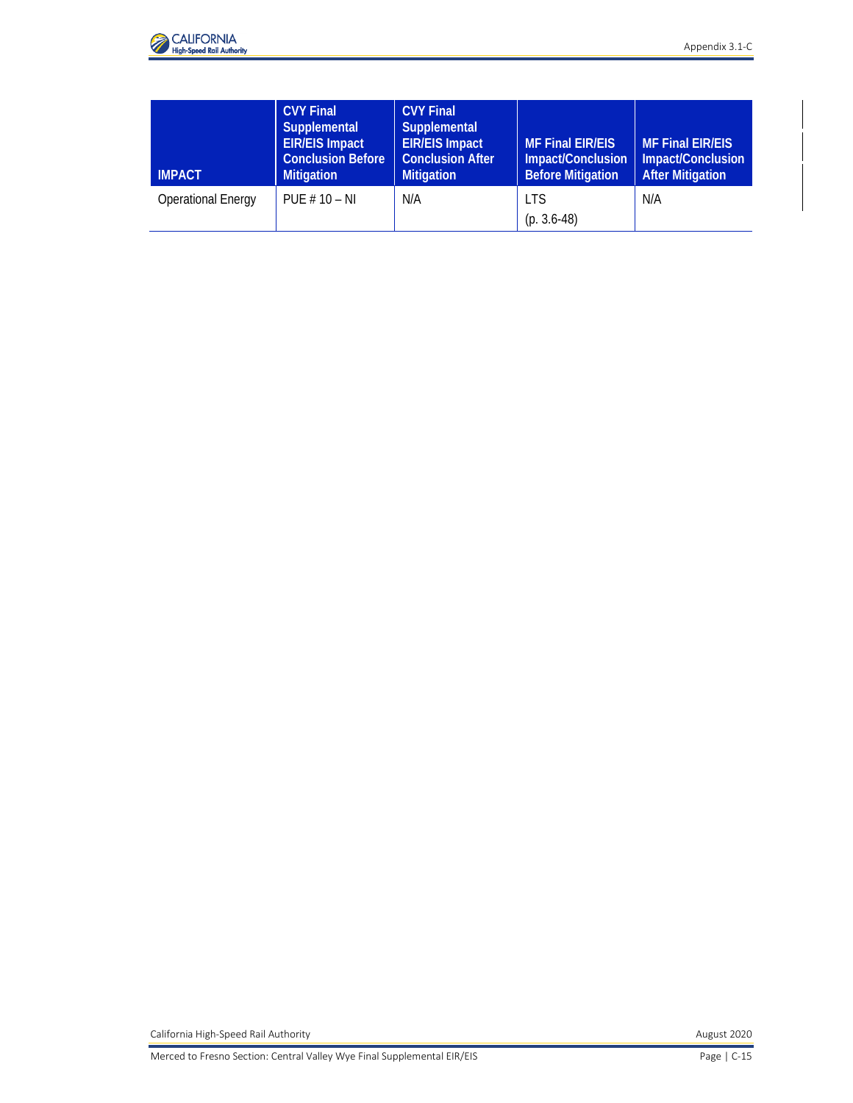

| <b>IMPACT</b>             | <b>CVY Final</b><br><b>Supplemental</b><br><b>EIR/EIS Impact</b><br><b>Conclusion Before</b><br><b>Mitigation</b> | <b>CVY Final</b><br>Supplemental<br><b>EIR/EIS Impact</b><br><b>Conclusion After</b><br><b>Mitigation</b> | <b>MF Final EIR/EIS</b><br>Impact/Conclusion<br><b>Before Mitigation</b> | <b>MF Final EIR/EIS</b><br>Impact/Conclusion<br><b>After Mitigation</b> |
|---------------------------|-------------------------------------------------------------------------------------------------------------------|-----------------------------------------------------------------------------------------------------------|--------------------------------------------------------------------------|-------------------------------------------------------------------------|
| <b>Operational Energy</b> | PUE $# 10 - NI$                                                                                                   | N/A                                                                                                       | <b>LTS</b><br>$(p. 3.6-48)$                                              | N/A                                                                     |

California High-Speed Rail Authority **August 2020**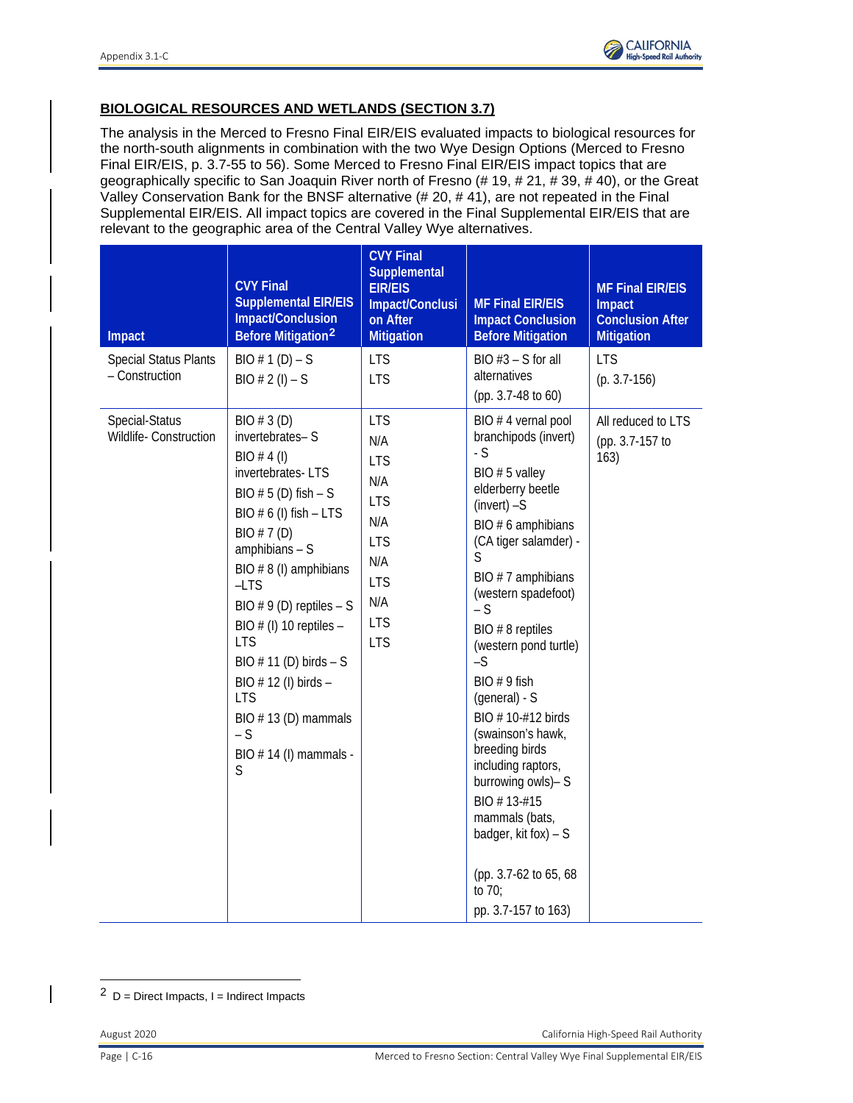

### **BIOLOGICAL RESOURCES AND WETLANDS (SECTION 3.7)**

The analysis in the Merced to Fresno Final EIR/EIS evaluated impacts to biological resources for the north-south alignments in combination with the two Wye Design Options (Merced to Fresno Final EIR/EIS, p. 3.7-55 to 56). Some Merced to Fresno Final EIR/EIS impact topics that are geographically specific to San Joaquin River north of Fresno (# 19, # 21, # 39, # 40), or the Great Valley Conservation Bank for the BNSF alternative (# 20, # 41), are not repeated in the Final Supplemental EIR/EIS. All impact topics are covered in the Final Supplemental EIR/EIS that are relevant to the geographic area of the Central Valley Wye alternatives.

| Impact                                         | <b>CVY Final</b><br><b>Supplemental EIR/EIS</b><br>Impact/Conclusion<br>Before Mitigation <sup>2</sup>                                                                                                                                                                                                                                                                                                                | <b>CVY Final</b><br>Supplemental<br><b>EIR/EIS</b><br>Impact/Conclusi<br>on After<br><b>Mitigation</b>                            | <b>MF Final EIR/EIS</b><br><b>Impact Conclusion</b><br><b>Before Mitigation</b>                                                                                                                                                                                                                                                                                                                                                                                                                                                           | <b>MF Final EIR/EIS</b><br>Impact<br><b>Conclusion After</b><br><b>Mitigation</b> |
|------------------------------------------------|-----------------------------------------------------------------------------------------------------------------------------------------------------------------------------------------------------------------------------------------------------------------------------------------------------------------------------------------------------------------------------------------------------------------------|-----------------------------------------------------------------------------------------------------------------------------------|-------------------------------------------------------------------------------------------------------------------------------------------------------------------------------------------------------------------------------------------------------------------------------------------------------------------------------------------------------------------------------------------------------------------------------------------------------------------------------------------------------------------------------------------|-----------------------------------------------------------------------------------|
| <b>Special Status Plants</b><br>- Construction | $BIO # 1 (D) - S$<br>$BIO \# 2 (I) - S$                                                                                                                                                                                                                                                                                                                                                                               | <b>LTS</b><br><b>LTS</b>                                                                                                          | BIO $#3 - S$ for all<br>alternatives<br>(pp. 3.7-48 to 60)                                                                                                                                                                                                                                                                                                                                                                                                                                                                                | <b>LTS</b><br>$(p. 3.7-156)$                                                      |
| Special-Status<br>Wildlife- Construction       | BIO $# 3(D)$<br>invertebrates-S<br>BIO # 4 (I)<br>invertebrates-LTS<br>BIO $# 5$ (D) fish $- S $<br>BIO $# 6$ (I) fish $-$ LTS<br>BIO # 7 (D)<br>amphibians - S<br>BIO # 8 (I) amphibians<br>$-LTS$<br>BIO $# 9$ (D) reptiles $- S$<br>BIO $#$ (I) 10 reptiles $-$<br><b>LTS</b><br>BIO $# 11$ (D) birds $- S$<br>BIO # 12 (I) birds -<br><b>LTS</b><br>BIO $# 13$ (D) mammals<br>$-S$<br>BIO # 14 (I) mammals -<br>S | <b>LTS</b><br>N/A<br><b>LTS</b><br>N/A<br><b>LTS</b><br>N/A<br><b>LTS</b><br>N/A<br><b>LTS</b><br>N/A<br><b>LTS</b><br><b>LTS</b> | BIO #4 vernal pool<br>branchipods (invert)<br>$-S$<br>BIO $# 5$ valley<br>elderberry beetle<br>$(invert) - S$<br>BIO # 6 amphibians<br>(CA tiger salamder) -<br>S<br>BIO # 7 amphibians<br>(western spadefoot)<br>$-S$<br>BIO # 8 reptiles<br>(western pond turtle)<br>$-S$<br>BIO # 9 fish<br>(general) - S<br>BIO #10-#12 birds<br>(swainson's hawk,<br>breeding birds<br>including raptors,<br>burrowing owls)- S<br>BIO #13-#15<br>mammals (bats,<br>badger, kit fox) $- S$<br>(pp. 3.7-62 to 65, 68<br>to 70;<br>pp. 3.7-157 to 163) | All reduced to LTS<br>(pp. 3.7-157 to<br>163)                                     |

<span id="page-16-0"></span> $2 D$  = Direct Impacts, I = Indirect Impacts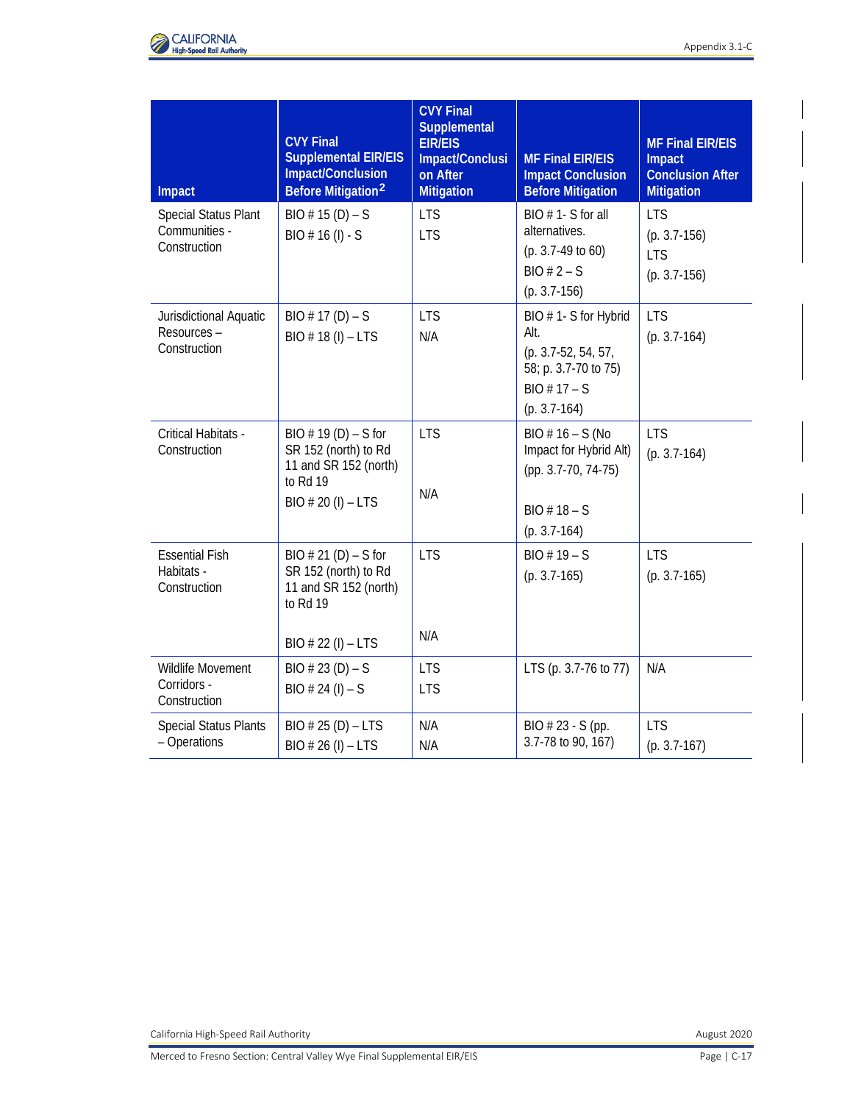

| Impact                                                | <b>CVY Final</b><br><b>Supplemental EIR/EIS</b><br>Impact/Conclusion<br>Before Mitigation <sup>2</sup>       | <b>CVY Final</b><br>Supplemental<br><b>EIR/EIS</b><br>Impact/Conclusi<br>on After<br><b>Mitigation</b> | <b>MF Final EIR/EIS</b><br><b>Impact Conclusion</b><br><b>Before Mitigation</b>                                  | <b>MF Final EIR/EIS</b><br>Impact<br><b>Conclusion After</b><br><b>Mitigation</b> |
|-------------------------------------------------------|--------------------------------------------------------------------------------------------------------------|--------------------------------------------------------------------------------------------------------|------------------------------------------------------------------------------------------------------------------|-----------------------------------------------------------------------------------|
| Special Status Plant<br>Communities -<br>Construction | $BIO \# 15 (D) - S$<br>$BIO # 16 (I) - S$                                                                    | <b>LTS</b><br><b>LTS</b>                                                                               | BIO $# 1 - S$ for all<br>alternatives.<br>$(p. 3.7-49 to 60)$<br>$BIO # 2-S$<br>$(p. 3.7-156)$                   | <b>LTS</b><br>$(p. 3.7-156)$<br><b>LTS</b><br>$(p. 3.7-156)$                      |
| Jurisdictional Aquatic<br>Resources-<br>Construction  | BIO # 17 (D) – S<br>BIO # 18 (I) - LTS                                                                       | <b>LTS</b><br>N/A                                                                                      | BIO #1-S for Hybrid<br>Alt.<br>$(p. 3.7-52, 54, 57,$<br>58; p. 3.7-70 to 75)<br>$BIO # 17 - S$<br>$(p. 3.7-164)$ | <b>LTS</b><br>$(p. 3.7-164)$                                                      |
| Critical Habitats -<br>Construction                   | $BIO \# 19 (D) - S for$<br>SR 152 (north) to Rd<br>11 and SR 152 (north)<br>to Rd 19<br>$BIO # 20 (I) - LTS$ | <b>LTS</b><br>N/A                                                                                      | $BIO # 16 - S (No)$<br>Impact for Hybrid Alt)<br>(pp. 3.7-70, 74-75)<br>$BIO # 18 - S$<br>$(p. 3.7-164)$         | <b>LTS</b><br>$(p. 3.7-164)$                                                      |
| <b>Essential Fish</b><br>Habitats -<br>Construction   | $BIO \# 21 (D) - S for$<br>SR 152 (north) to Rd<br>11 and SR 152 (north)<br>to Rd 19<br>$BIO # 22 (I) - LTS$ | <b>LTS</b><br>N/A                                                                                      | $BIO # 19 - S$<br>$(p. 3.7-165)$                                                                                 | <b>LTS</b><br>$(p. 3.7-165)$                                                      |
| Wildlife Movement<br>Corridors -<br>Construction      | $BIO # 23 (D) - S$<br>$BIO # 24 (I) - S$                                                                     | <b>LTS</b><br><b>LTS</b>                                                                               | LTS (p. 3.7-76 to 77)                                                                                            | N/A                                                                               |
| <b>Special Status Plants</b><br>- Operations          | $BIO # 25 (D) - LTS$<br>$BIO # 26 (I) - LTS$                                                                 | N/A<br>N/A                                                                                             | BIO # 23 - S (pp.<br>3.7-78 to 90, 167)                                                                          | <b>LTS</b><br>$(p. 3.7-167)$                                                      |

California High-Speed Rail Authority **August 2020**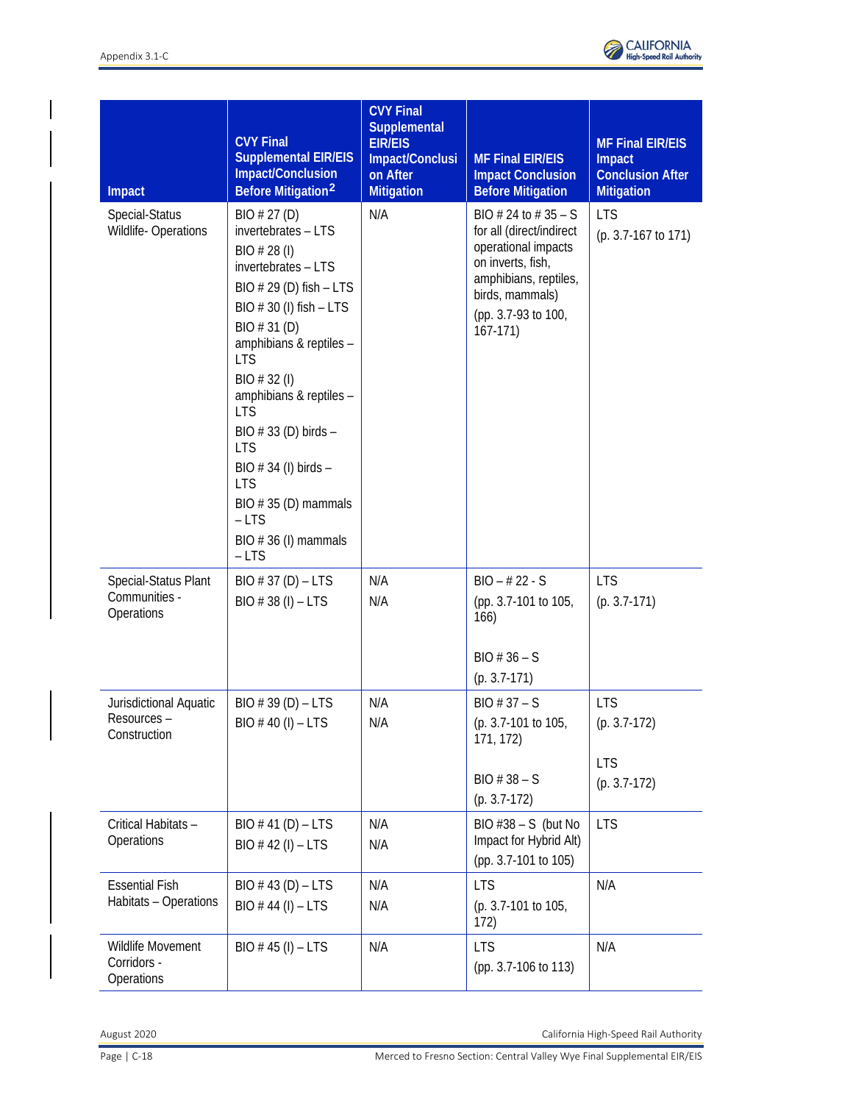

| Impact                                                | <b>CVY Final</b><br><b>Supplemental EIR/EIS</b><br>Impact/Conclusion<br>Before Mitigation <sup>2</sup>                                                                                                                                                                                                                                                                                                            | <b>CVY Final</b><br>Supplemental<br><b>EIR/EIS</b><br>Impact/Conclusi<br>on After<br><b>Mitigation</b> | <b>MF Final EIR/EIS</b><br><b>Impact Conclusion</b><br><b>Before Mitigation</b>                                                                                                | <b>MF Final EIR/EIS</b><br>Impact<br><b>Conclusion After</b><br><b>Mitigation</b> |
|-------------------------------------------------------|-------------------------------------------------------------------------------------------------------------------------------------------------------------------------------------------------------------------------------------------------------------------------------------------------------------------------------------------------------------------------------------------------------------------|--------------------------------------------------------------------------------------------------------|--------------------------------------------------------------------------------------------------------------------------------------------------------------------------------|-----------------------------------------------------------------------------------|
| Special-Status<br>Wildlife-Operations                 | BIO # 27 (D)<br>invertebrates - LTS<br>$BIO \# 28 (I)$<br>invertebrates - LTS<br>BIO $# 29$ (D) fish $-$ LTS<br>BIO $# 30$ (I) fish $-$ LTS<br>BIO # 31 (D)<br>amphibians & reptiles -<br><b>LTS</b><br>BIO # 32 (I)<br>amphibians & reptiles -<br><b>LTS</b><br>BIO # 33 (D) birds -<br><b>LTS</b><br>BIO # 34 (I) birds -<br><b>LTS</b><br>BIO $# 35$ (D) mammals<br>$-LTS$<br>BIO $# 36$ (I) mammals<br>$-LTS$ | N/A                                                                                                    | BIO # 24 to # 35 - S<br>for all (direct/indirect<br>operational impacts<br>on inverts, fish,<br>amphibians, reptiles,<br>birds, mammals)<br>(pp. 3.7-93 to 100,<br>$167 - 171$ | <b>LTS</b><br>$(p. 3.7-167)$ to 171)                                              |
| Special-Status Plant<br>Communities -<br>Operations   | $BIO # 37 (D) - LTS$<br>$BIO # 38 (I) - LTS$                                                                                                                                                                                                                                                                                                                                                                      | N/A<br>N/A                                                                                             | $BIO - # 22 - S$<br>(pp. 3.7-101 to 105,<br>166)<br>$BIO # 36 - S$<br>$(p. 3.7-171)$                                                                                           | <b>LTS</b><br>$(p. 3.7-171)$                                                      |
| Jurisdictional Aquatic<br>Resources -<br>Construction | $BIO # 39 (D) - LTS$<br>$BIO # 40 (I) - LTS$                                                                                                                                                                                                                                                                                                                                                                      | N/A<br>N/A                                                                                             | $BIO # 37 - S$<br>(p. 3.7-101 to 105,<br>171, 172)<br>$BIO # 38 - S$<br>$(p. 3.7-172)$                                                                                         | <b>LTS</b><br>$(p. 3.7-172)$<br><b>LTS</b><br>$(p. 3.7-172)$                      |
| Critical Habitats -<br>Operations                     | $BIO # 41 (D) - LTS$<br>$BIO # 42 (I) - LTS$                                                                                                                                                                                                                                                                                                                                                                      | N/A<br>N/A                                                                                             | BIO $#38 - S$ (but No<br>Impact for Hybrid Alt)<br>(pp. 3.7-101 to 105)                                                                                                        | <b>LTS</b>                                                                        |
| <b>Essential Fish</b><br>Habitats - Operations        | $BIO # 43 (D) - LTS$<br>$BIO # 44 (I) - LTS$                                                                                                                                                                                                                                                                                                                                                                      | N/A<br>N/A                                                                                             | <b>LTS</b><br>(p. 3.7-101 to 105,<br>172)                                                                                                                                      | N/A                                                                               |
| Wildlife Movement<br>Corridors -<br>Operations        | $BIO # 45 (I) - LTS$                                                                                                                                                                                                                                                                                                                                                                                              | N/A                                                                                                    | <b>LTS</b><br>(pp. 3.7-106 to 113)                                                                                                                                             | N/A                                                                               |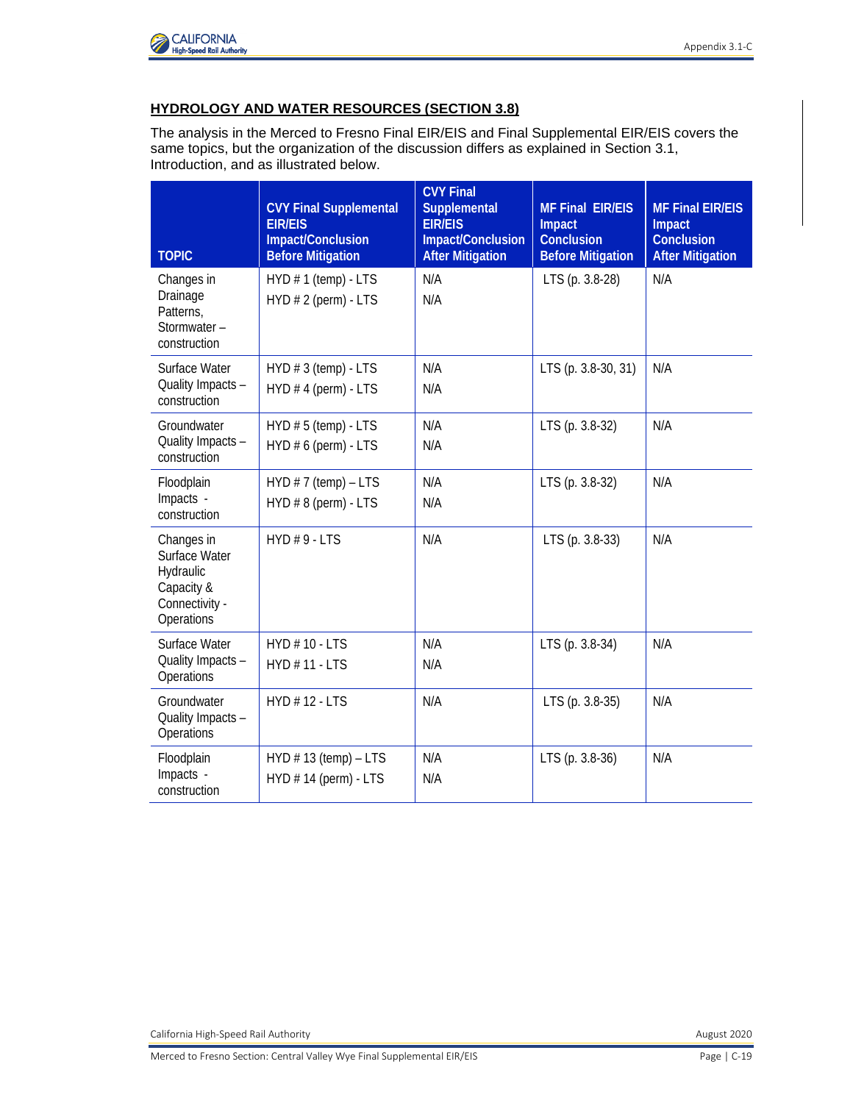

# **HYDROLOGY AND WATER RESOURCES (SECTION 3.8)**

The analysis in the Merced to Fresno Final EIR/EIS and Final Supplemental EIR/EIS covers the same topics, but the organization of the discussion differs as explained in Section 3.1, Introduction, and as illustrated below.

| <b>TOPIC</b>                                                                           | <b>CVY Final Supplemental</b><br><b>EIR/EIS</b><br>Impact/Conclusion<br><b>Before Mitigation</b> | <b>CVY Final</b><br><b>Supplemental</b><br><b>EIR/EIS</b><br><b>Impact/Conclusion</b><br><b>After Mitigation</b> | <b>MF Final EIR/EIS</b><br>Impact<br><b>Conclusion</b><br><b>Before Mitigation</b> | <b>MF Final EIR/EIS</b><br>Impact<br><b>Conclusion</b><br><b>After Mitigation</b> |
|----------------------------------------------------------------------------------------|--------------------------------------------------------------------------------------------------|------------------------------------------------------------------------------------------------------------------|------------------------------------------------------------------------------------|-----------------------------------------------------------------------------------|
| Changes in<br>Drainage<br>Patterns,<br>Stormwater-<br>construction                     | HYD # 1 (temp) - LTS<br>HYD # 2 (perm) - LTS                                                     | N/A<br>N/A                                                                                                       | LTS (p. 3.8-28)                                                                    | N/A                                                                               |
| Surface Water<br>Quality Impacts -<br>construction                                     | $HYD \# 3$ (temp) - LTS<br>$HYD \# 4$ (perm) - LTS                                               | N/A<br>N/A                                                                                                       | LTS (p. 3.8-30, 31)                                                                | N/A                                                                               |
| Groundwater<br>Quality Impacts -<br>construction                                       | HYD # 5 (temp) - LTS<br>$HYD \# 6$ (perm) - LTS                                                  | N/A<br>N/A                                                                                                       | LTS (p. 3.8-32)                                                                    | N/A                                                                               |
| Floodplain<br>Impacts -<br>construction                                                | $HYD \# 7$ (temp) – LTS<br>HYD # 8 (perm) - LTS                                                  | N/A<br>N/A                                                                                                       | LTS (p. 3.8-32)                                                                    | N/A                                                                               |
| Changes in<br>Surface Water<br>Hydraulic<br>Capacity &<br>Connectivity -<br>Operations | $HYD \# 9 - LTS$                                                                                 | N/A                                                                                                              | LTS (p. 3.8-33)                                                                    | N/A                                                                               |
| Surface Water<br>Quality Impacts -<br>Operations                                       | <b>HYD #10 - LTS</b><br><b>HYD #11 - LTS</b>                                                     | N/A<br>N/A                                                                                                       | LTS (p. 3.8-34)                                                                    | N/A                                                                               |
| Groundwater<br>Quality Impacts -<br>Operations                                         | <b>HYD #12 - LTS</b>                                                                             | N/A                                                                                                              | LTS (p. 3.8-35)                                                                    | N/A                                                                               |
| Floodplain<br>Impacts -<br>construction                                                | $HYD # 13 (temp) - LTS$<br>$HYD # 14$ (perm) - LTS                                               | N/A<br>N/A                                                                                                       | LTS (p. 3.8-36)                                                                    | N/A                                                                               |

California High-Speed Rail Authority **August 2020**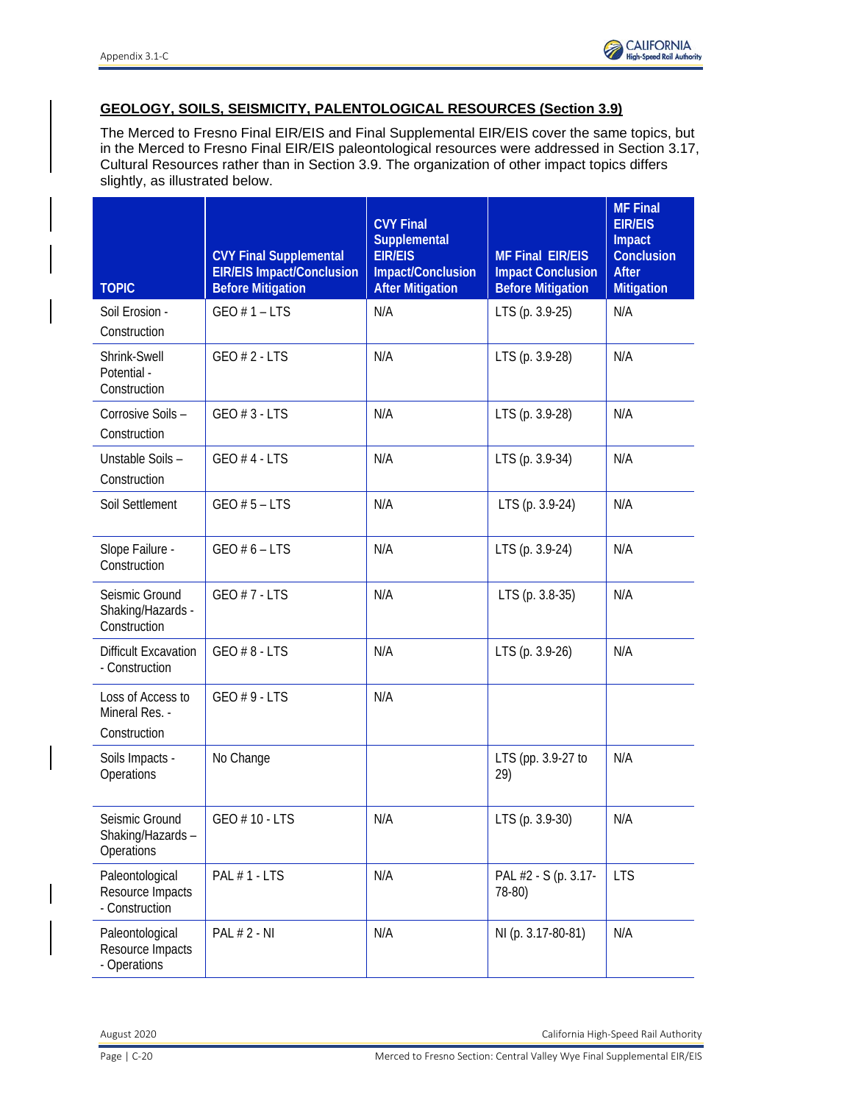

## **GEOLOGY, SOILS, SEISMICITY, PALENTOLOGICAL RESOURCES (Section 3.9)**

The Merced to Fresno Final EIR/EIS and Final Supplemental EIR/EIS cover the same topics, but in the Merced to Fresno Final EIR/EIS paleontological resources were addressed in Section 3.17, Cultural Resources rather than in Section 3.9. The organization of other impact topics differs slightly, as illustrated below.

| <b>TOPIC</b>                                          | <b>CVY Final Supplemental</b><br><b>EIR/EIS Impact/Conclusion</b><br><b>Before Mitigation</b> | <b>CVY Final</b><br>Supplemental<br><b>EIR/EIS</b><br>Impact/Conclusion<br><b>After Mitigation</b> | <b>MF Final EIR/EIS</b><br><b>Impact Conclusion</b><br><b>Before Mitigation</b> | <b>MF Final</b><br><b>EIR/EIS</b><br>Impact<br><b>Conclusion</b><br><b>After</b><br><b>Mitigation</b> |
|-------------------------------------------------------|-----------------------------------------------------------------------------------------------|----------------------------------------------------------------------------------------------------|---------------------------------------------------------------------------------|-------------------------------------------------------------------------------------------------------|
| Soil Erosion -<br>Construction                        | $GEO # 1 - LTS$                                                                               | N/A                                                                                                | LTS (p. 3.9-25)                                                                 | N/A                                                                                                   |
| Shrink-Swell<br>Potential -<br>Construction           | GEO # 2 - LTS                                                                                 | N/A                                                                                                | LTS (p. 3.9-28)                                                                 | N/A                                                                                                   |
| Corrosive Soils -<br>Construction                     | $GEO # 3 - LTS$                                                                               | N/A                                                                                                | LTS (p. 3.9-28)                                                                 | N/A                                                                                                   |
| Unstable Soils -<br>Construction                      | $GEO # 4 - LTS$                                                                               | N/A                                                                                                | LTS (p. 3.9-34)                                                                 | N/A                                                                                                   |
| Soil Settlement                                       | $GEO#5 - LTS$                                                                                 | N/A                                                                                                | LTS (p. 3.9-24)                                                                 | N/A                                                                                                   |
| Slope Failure -<br>Construction                       | GEO $# 6$ – LTS                                                                               | N/A                                                                                                | LTS (p. 3.9-24)                                                                 | N/A                                                                                                   |
| Seismic Ground<br>Shaking/Hazards -<br>Construction   | GEO # 7 - LTS                                                                                 | N/A                                                                                                | LTS (p. 3.8-35)                                                                 | N/A                                                                                                   |
| <b>Difficult Excavation</b><br>- Construction         | $GEO#8 - LTS$                                                                                 | N/A                                                                                                | LTS (p. 3.9-26)                                                                 | N/A                                                                                                   |
| Loss of Access to<br>Mineral Res. -<br>Construction   | GEO # 9 - LTS                                                                                 | N/A                                                                                                |                                                                                 |                                                                                                       |
| Soils Impacts -<br>Operations                         | No Change                                                                                     |                                                                                                    | LTS (pp. 3.9-27 to<br>29)                                                       | N/A                                                                                                   |
| Seismic Ground<br>Shaking/Hazards-<br>Operations      | GEO #10 - LTS                                                                                 | N/A                                                                                                | LTS (p. 3.9-30)                                                                 | N/A                                                                                                   |
| Paleontological<br>Resource Impacts<br>- Construction | <b>PAL #1 - LTS</b>                                                                           | N/A                                                                                                | PAL #2 - S (p. 3.17-<br>78-80)                                                  | <b>LTS</b>                                                                                            |
| Paleontological<br>Resource Impacts<br>- Operations   | PAL # 2 - NI                                                                                  | N/A                                                                                                | NI (p. 3.17-80-81)                                                              | N/A                                                                                                   |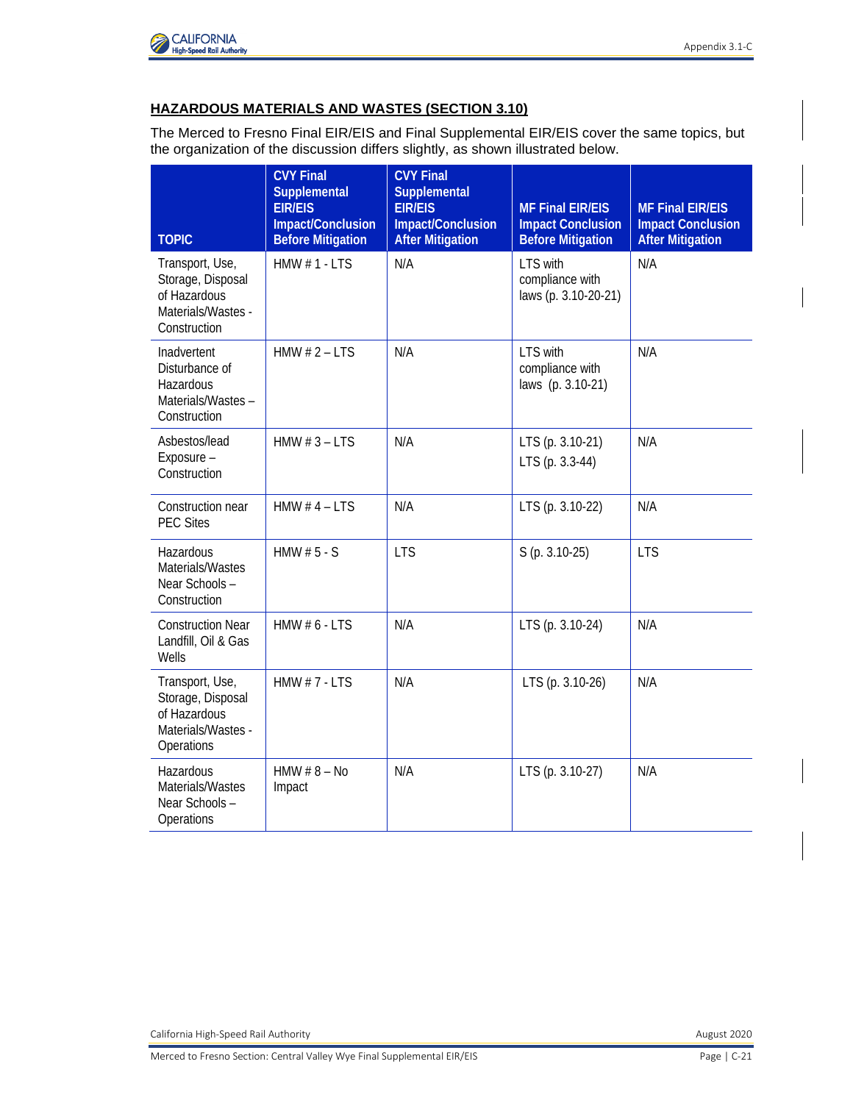

# **HAZARDOUS MATERIALS AND WASTES (SECTION 3.10)**

The Merced to Fresno Final EIR/EIS and Final Supplemental EIR/EIS cover the same topics, but the organization of the discussion differs slightly, as shown illustrated below.

| <b>TOPIC</b>                                                                               | <b>CVY Final</b><br><b>Supplemental</b><br><b>EIR/EIS</b><br><b>Impact/Conclusion</b><br><b>Before Mitigation</b> | <b>CVY Final</b><br><b>Supplemental</b><br><b>EIR/EIS</b><br><b>Impact/Conclusion</b><br><b>After Mitigation</b> | <b>MF Final EIR/EIS</b><br><b>Impact Conclusion</b><br><b>Before Mitigation</b> | <b>MF Final EIR/EIS</b><br><b>Impact Conclusion</b><br><b>After Mitigation</b> |
|--------------------------------------------------------------------------------------------|-------------------------------------------------------------------------------------------------------------------|------------------------------------------------------------------------------------------------------------------|---------------------------------------------------------------------------------|--------------------------------------------------------------------------------|
| Transport, Use,<br>Storage, Disposal<br>of Hazardous<br>Materials/Wastes -<br>Construction | HMW $# 1 - LTS$                                                                                                   | N/A                                                                                                              | LTS with<br>compliance with<br>laws (p. 3.10-20-21)                             | N/A                                                                            |
| Inadvertent<br>Disturbance of<br>Hazardous<br>Materials/Wastes -<br>Construction           | HMW $# 2 - LTS$                                                                                                   | N/A                                                                                                              | LTS with<br>compliance with<br>laws (p. 3.10-21)                                | N/A                                                                            |
| Asbestos/lead<br>Exposure -<br>Construction                                                | HMW $# 3 - LTS$                                                                                                   | N/A                                                                                                              | LTS (p. 3.10-21)<br>LTS (p. 3.3-44)                                             | N/A                                                                            |
| Construction near<br><b>PEC Sites</b>                                                      | HMW $#$ 4 - LTS                                                                                                   | N/A                                                                                                              | LTS (p. 3.10-22)                                                                | N/A                                                                            |
| Hazardous<br>Materials/Wastes<br>Near Schools -<br>Construction                            | HMW $# 5 - S$                                                                                                     | <b>LTS</b>                                                                                                       | $S$ (p. 3.10-25)                                                                | <b>LTS</b>                                                                     |
| <b>Construction Near</b><br>Landfill, Oil & Gas<br>Wells                                   | HMW $# 6 - LTS$                                                                                                   | N/A                                                                                                              | LTS (p. 3.10-24)                                                                | N/A                                                                            |
| Transport, Use,<br>Storage, Disposal<br>of Hazardous<br>Materials/Wastes -<br>Operations   | HMW $# 7 - LTS$                                                                                                   | N/A                                                                                                              | LTS (p. 3.10-26)                                                                | N/A                                                                            |
| Hazardous<br>Materials/Wastes<br>Near Schools -<br>Operations                              | HMW $# 8 - No$<br>Impact                                                                                          | N/A                                                                                                              | LTS (p. 3.10-27)                                                                | N/A                                                                            |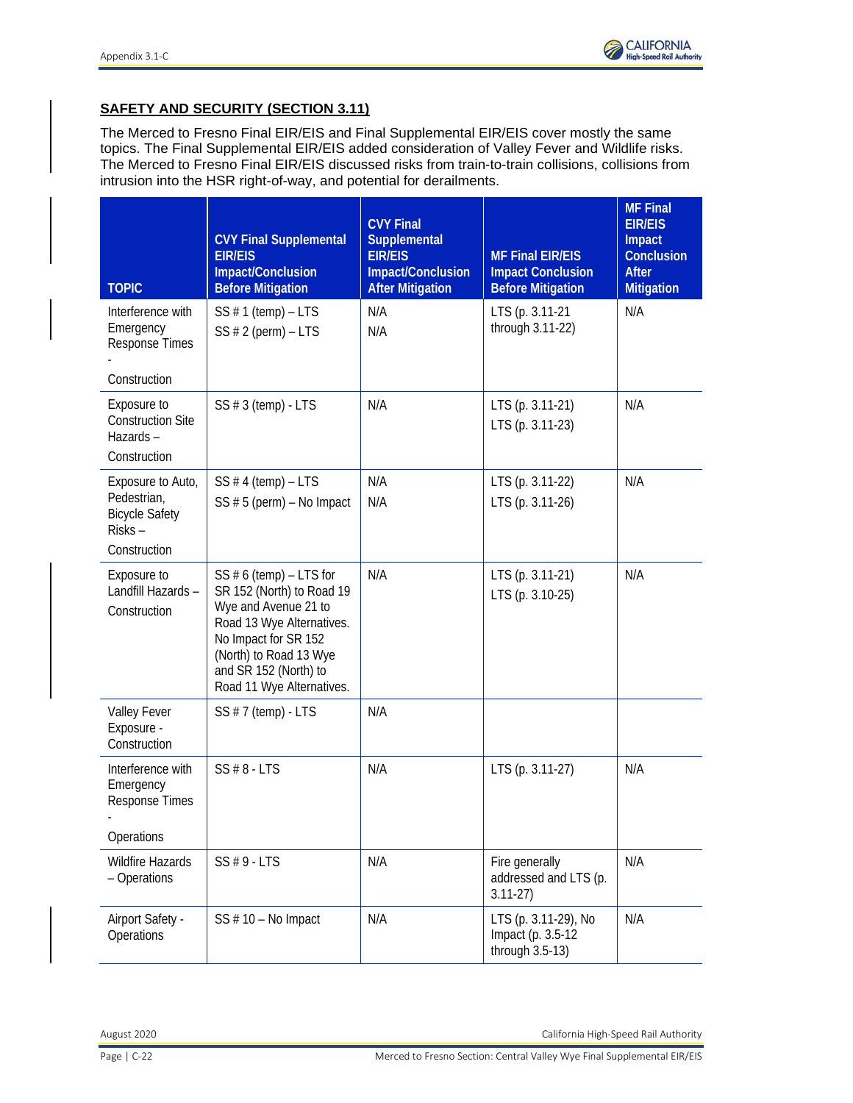

# **SAFETY AND SECURITY (SECTION 3.11)**

The Merced to Fresno Final EIR/EIS and Final Supplemental EIR/EIS cover mostly the same topics. The Final Supplemental EIR/EIS added consideration of Valley Fever and Wildlife risks. The Merced to Fresno Final EIR/EIS discussed risks from train-to-train collisions, collisions from intrusion into the HSR right-of-way, and potential for derailments.

| <b>TOPIC</b>                                                                           | <b>CVY Final Supplemental</b><br><b>EIR/EIS</b><br>Impact/Conclusion<br><b>Before Mitigation</b>                                                                                                                    | <b>CVY Final</b><br><b>Supplemental</b><br><b>EIR/EIS</b><br>Impact/Conclusion<br><b>After Mitigation</b> | <b>MF Final EIR/EIS</b><br><b>Impact Conclusion</b><br><b>Before Mitigation</b> | <b>MF Final</b><br><b>EIR/EIS</b><br>Impact<br><b>Conclusion</b><br><b>After</b><br><b>Mitigation</b> |
|----------------------------------------------------------------------------------------|---------------------------------------------------------------------------------------------------------------------------------------------------------------------------------------------------------------------|-----------------------------------------------------------------------------------------------------------|---------------------------------------------------------------------------------|-------------------------------------------------------------------------------------------------------|
| Interference with<br>Emergency<br>Response Times<br>Construction                       | SS $# 1$ (temp) $-$ LTS<br>SS $# 2$ (perm) – LTS                                                                                                                                                                    | N/A<br>N/A                                                                                                | LTS (p. 3.11-21<br>through 3.11-22)                                             | N/A                                                                                                   |
| Exposure to<br><b>Construction Site</b><br>Hazards-<br>Construction                    | $SS # 3 (temp) - LTS$                                                                                                                                                                                               | N/A                                                                                                       | LTS (p. 3.11-21)<br>LTS (p. 3.11-23)                                            | N/A                                                                                                   |
| Exposure to Auto,<br>Pedestrian,<br><b>Bicycle Safety</b><br>$Risks -$<br>Construction | SS $#$ 4 (temp) $-$ LTS<br>SS $# 5$ (perm) – No Impact                                                                                                                                                              | N/A<br>N/A                                                                                                | LTS (p. 3.11-22)<br>LTS (p. 3.11-26)                                            | N/A                                                                                                   |
| Exposure to<br>Landfill Hazards-<br>Construction                                       | SS $# 6$ (temp) – LTS for<br>SR 152 (North) to Road 19<br>Wye and Avenue 21 to<br>Road 13 Wye Alternatives.<br>No Impact for SR 152<br>(North) to Road 13 Wye<br>and SR 152 (North) to<br>Road 11 Wye Alternatives. | N/A                                                                                                       | LTS (p. 3.11-21)<br>LTS (p. 3.10-25)                                            | N/A                                                                                                   |
| Valley Fever<br>Exposure -<br>Construction                                             | $SS # 7 (temp) - LTS$                                                                                                                                                                                               | N/A                                                                                                       |                                                                                 |                                                                                                       |
| Interference with<br>Emergency<br>Response Times<br>Operations                         | $SS # 8 - LTS$                                                                                                                                                                                                      | N/A                                                                                                       | LTS (p. 3.11-27)                                                                | N/A                                                                                                   |
| Wildfire Hazards<br>- Operations                                                       | $SS # 9 - LTS$                                                                                                                                                                                                      | N/A                                                                                                       | Fire generally<br>addressed and LTS (p.<br>$3.11 - 27$                          | N/A                                                                                                   |
| Airport Safety -<br>Operations                                                         | $SS # 10 - No$ Impact                                                                                                                                                                                               | N/A                                                                                                       | LTS (p. 3.11-29), No<br>Impact (p. 3.5-12<br>through 3.5-13)                    | N/A                                                                                                   |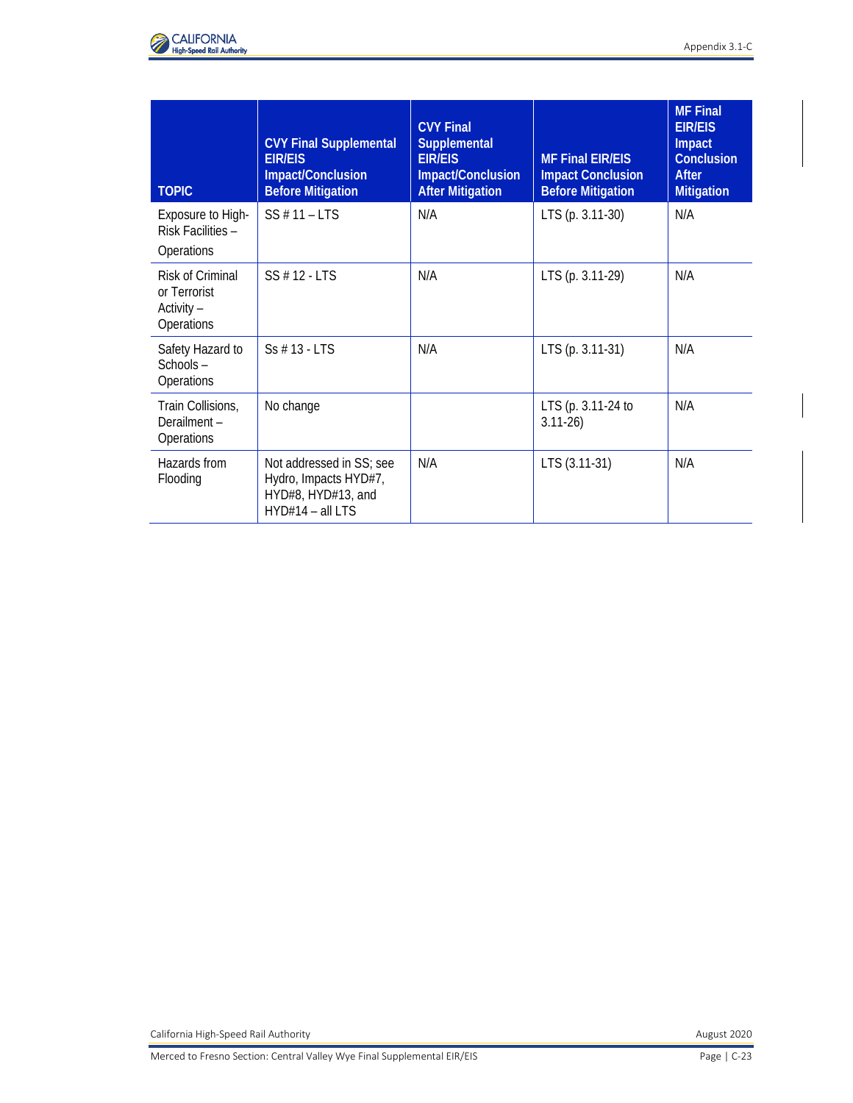

| <b>TOPIC</b>                                                 | <b>CVY Final Supplemental</b><br><b>EIR/EIS</b><br>Impact/Conclusion<br><b>Before Mitigation</b> | <b>CVY Final</b><br>Supplemental<br><b>EIR/EIS</b><br>Impact/Conclusion<br><b>After Mitigation</b> | <b>MF Final EIR/EIS</b><br><b>Impact Conclusion</b><br><b>Before Mitigation</b> | <b>MF Final</b><br><b>EIR/EIS</b><br>Impact<br><b>Conclusion</b><br><b>After</b><br><b>Mitigation</b> |
|--------------------------------------------------------------|--------------------------------------------------------------------------------------------------|----------------------------------------------------------------------------------------------------|---------------------------------------------------------------------------------|-------------------------------------------------------------------------------------------------------|
| Exposure to High-<br>Risk Facilities -<br>Operations         | $SS # 11 - LTS$                                                                                  | N/A                                                                                                | LTS (p. 3.11-30)                                                                | N/A                                                                                                   |
| Risk of Criminal<br>or Terrorist<br>Activity -<br>Operations | SS # 12 - LTS                                                                                    | N/A                                                                                                | LTS (p. 3.11-29)                                                                | N/A                                                                                                   |
| Safety Hazard to<br>Schools-<br>Operations                   | $Ss \# 13 - ITS$                                                                                 | N/A                                                                                                | LTS (p. 3.11-31)                                                                | N/A                                                                                                   |
| Train Collisions,<br>Derailment-<br>Operations               | No change                                                                                        |                                                                                                    | LTS (p. 3.11-24 to<br>$3.11 - 26$                                               | N/A                                                                                                   |
| Hazards from<br>Flooding                                     | Not addressed in SS; see<br>Hydro, Impacts HYD#7,<br>HYD#8, HYD#13, and<br>$HYD#14 - all LTS$    | N/A                                                                                                | LTS (3.11-31)                                                                   | N/A                                                                                                   |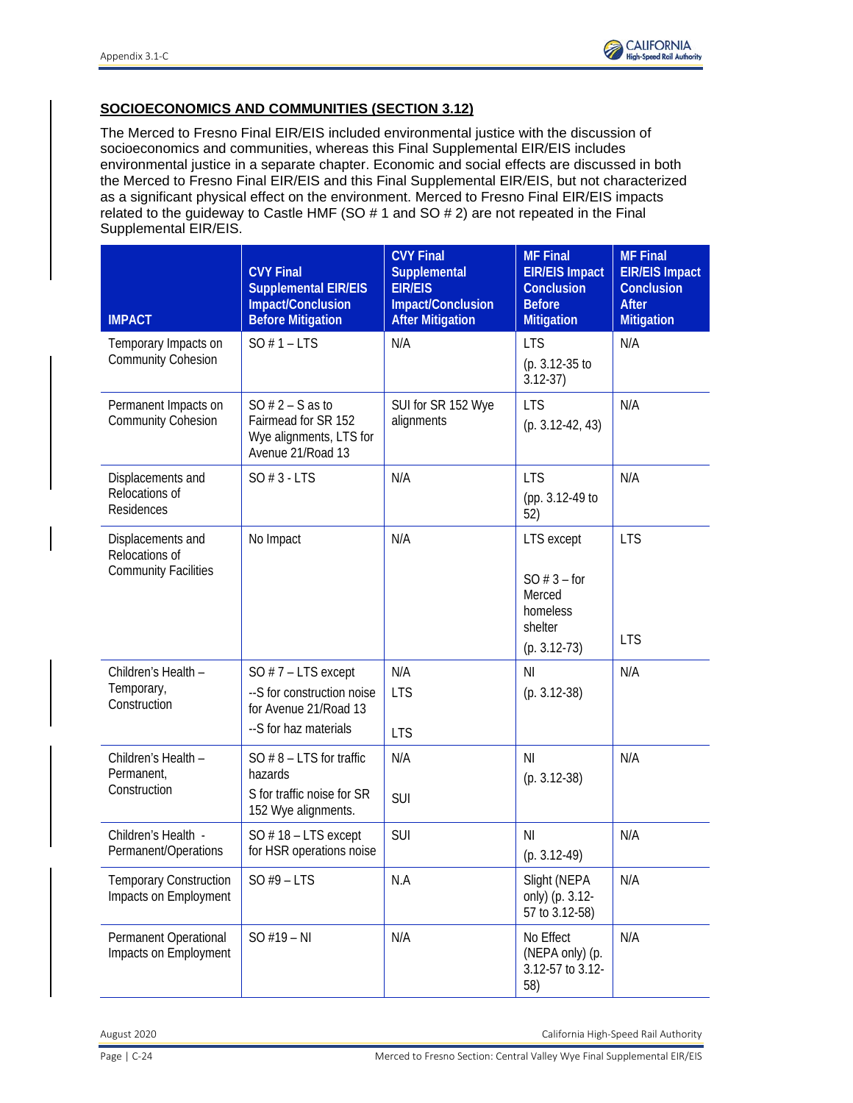## **SOCIOECONOMICS AND COMMUNITIES (SECTION 3.12)**

The Merced to Fresno Final EIR/EIS included environmental justice with the discussion of socioeconomics and communities, whereas this Final Supplemental EIR/EIS includes environmental justice in a separate chapter. Economic and social effects are discussed in both the Merced to Fresno Final EIR/EIS and this Final Supplemental EIR/EIS, but not characterized as a significant physical effect on the environment. Merced to Fresno Final EIR/EIS impacts related to the guideway to Castle HMF (SO # 1 and SO # 2) are not repeated in the Final Supplemental EIR/EIS.

| <b>IMPACT</b>                                                      | <b>CVY Final</b><br><b>Supplemental EIR/EIS</b><br>Impact/Conclusion<br><b>Before Mitigation</b>      | <b>CVY Final</b><br><b>Supplemental</b><br><b>EIR/EIS</b><br>Impact/Conclusion<br><b>After Mitigation</b> | <b>MF Final</b><br><b>EIR/EIS Impact</b><br><b>Conclusion</b><br><b>Before</b><br><b>Mitigation</b> | <b>MF</b> Final<br><b>EIR/EIS Impact</b><br><b>Conclusion</b><br><b>After</b><br><b>Mitigation</b> |
|--------------------------------------------------------------------|-------------------------------------------------------------------------------------------------------|-----------------------------------------------------------------------------------------------------------|-----------------------------------------------------------------------------------------------------|----------------------------------------------------------------------------------------------------|
| Temporary Impacts on<br><b>Community Cohesion</b>                  | SO $# 1 - LTS$                                                                                        | N/A                                                                                                       | <b>LTS</b><br>(p. 3.12-35 to<br>$3.12 - 37$                                                         | N/A                                                                                                |
| Permanent Impacts on<br><b>Community Cohesion</b>                  | SO $# 2 - S$ as to<br>Fairmead for SR 152<br>Wye alignments, LTS for<br>Avenue 21/Road 13             | SUI for SR 152 Wye<br>alignments                                                                          | <b>LTS</b><br>$(p. 3.12-42, 43)$                                                                    | N/A                                                                                                |
| Displacements and<br>Relocations of<br>Residences                  | $SO#3$ - LTS                                                                                          | N/A                                                                                                       | <b>LTS</b><br>(pp. 3.12-49 to<br>52)                                                                | N/A                                                                                                |
| Displacements and<br>Relocations of<br><b>Community Facilities</b> | No Impact                                                                                             | N/A                                                                                                       | LTS except<br>SO $# 3 - for$<br>Merced<br>homeless<br>shelter<br>$(p. 3.12-73)$                     | <b>LTS</b><br><b>LTS</b>                                                                           |
| Children's Health -<br>Temporary,<br>Construction                  | SO $# 7$ – LTS except<br>--S for construction noise<br>for Avenue 21/Road 13<br>--S for haz materials | N/A<br><b>LTS</b><br><b>LTS</b>                                                                           | N <sub>l</sub><br>$(p. 3.12-38)$                                                                    | N/A                                                                                                |
| Children's Health -<br>Permanent,<br>Construction                  | SO $# 8$ – LTS for traffic<br>hazards<br>S for traffic noise for SR<br>152 Wye alignments.            | N/A<br><b>SUI</b>                                                                                         | <b>NI</b><br>$(p. 3.12-38)$                                                                         | N/A                                                                                                |
| Children's Health -<br>Permanent/Operations                        | SO #18 - LTS except<br>for HSR operations noise                                                       | <b>SUI</b>                                                                                                | ΝI<br>$(p. 3.12-49)$                                                                                | N/A                                                                                                |
| <b>Temporary Construction</b><br>Impacts on Employment             | SO $#9$ – LTS                                                                                         | N.A                                                                                                       | Slight (NEPA<br>only) (p. 3.12-<br>57 to 3.12-58)                                                   | N/A                                                                                                |
| Permanent Operational<br>Impacts on Employment                     | $SO #19 - NI$                                                                                         | N/A                                                                                                       | No Effect<br>(NEPA only) (p.<br>3.12-57 to 3.12-<br>58)                                             | N/A                                                                                                |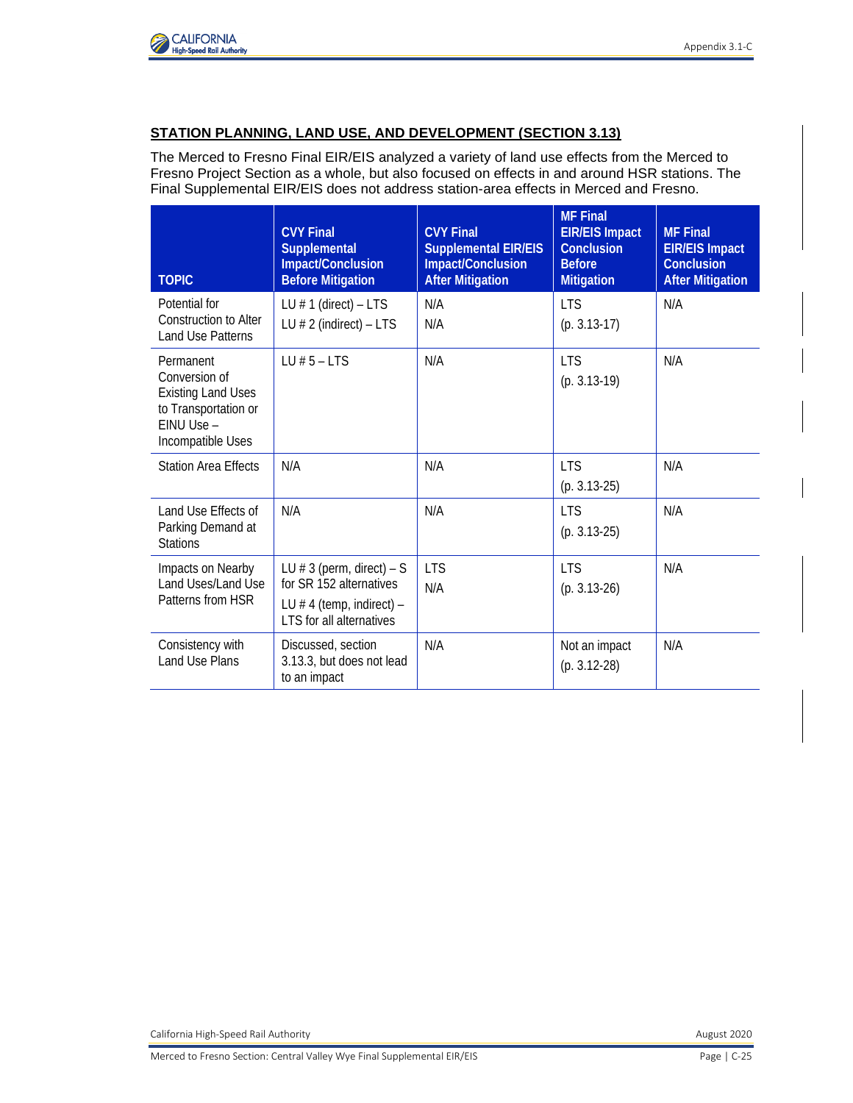

#### **STATION PLANNING, LAND USE, AND DEVELOPMENT (SECTION 3.13)**

The Merced to Fresno Final EIR/EIS analyzed a variety of land use effects from the Merced to Fresno Project Section as a whole, but also focused on effects in and around HSR stations. The Final Supplemental EIR/EIS does not address station-area effects in Merced and Fresno.

| <b>TOPIC</b>                                                                                                       | <b>CVY Final</b><br>Supplemental<br>Impact/Conclusion<br><b>Before Mitigation</b>                                        | <b>CVY Final</b><br><b>Supplemental EIR/EIS</b><br>Impact/Conclusion<br><b>After Mitigation</b> | <b>MF Final</b><br><b>EIR/EIS Impact</b><br><b>Conclusion</b><br><b>Before</b><br><b>Mitigation</b> | <b>MF Final</b><br><b>EIR/EIS Impact</b><br><b>Conclusion</b><br><b>After Mitigation</b> |
|--------------------------------------------------------------------------------------------------------------------|--------------------------------------------------------------------------------------------------------------------------|-------------------------------------------------------------------------------------------------|-----------------------------------------------------------------------------------------------------|------------------------------------------------------------------------------------------|
| Potential for<br><b>Construction to Alter</b><br><b>Land Use Patterns</b>                                          | LU $# 1$ (direct) – LTS<br>LU $# 2$ (indirect) - LTS                                                                     | N/A<br>N/A                                                                                      | <b>LTS</b><br>$(p. 3.13-17)$                                                                        | N/A                                                                                      |
| Permanent<br>Conversion of<br><b>Existing Land Uses</b><br>to Transportation or<br>EINU Use -<br>Incompatible Uses | LU $# 5 - LTS$                                                                                                           | N/A                                                                                             | <b>LTS</b><br>$(p. 3.13-19)$                                                                        | N/A                                                                                      |
| <b>Station Area Effects</b>                                                                                        | N/A                                                                                                                      | N/A                                                                                             | <b>LTS</b><br>$(p. 3.13-25)$                                                                        | N/A                                                                                      |
| Land Use Effects of<br>Parking Demand at<br><b>Stations</b>                                                        | N/A                                                                                                                      | N/A                                                                                             | <b>LTS</b><br>$(p. 3.13-25)$                                                                        | N/A                                                                                      |
| Impacts on Nearby<br>Land Uses/Land Use<br>Patterns from HSR                                                       | LU # 3 (perm, direct) $- S$<br>for SR 152 alternatives<br>LU # 4 (temp, indirect) $-$<br><b>LTS</b> for all alternatives | <b>LTS</b><br>N/A                                                                               | <b>LTS</b><br>$(p. 3.13-26)$                                                                        | N/A                                                                                      |
| Consistency with<br><b>Land Use Plans</b>                                                                          | Discussed, section<br>3.13.3, but does not lead<br>to an impact                                                          | N/A                                                                                             | Not an impact<br>$(p. 3.12-28)$                                                                     | N/A                                                                                      |

California High-Speed Rail Authority **August 2020 August 2020**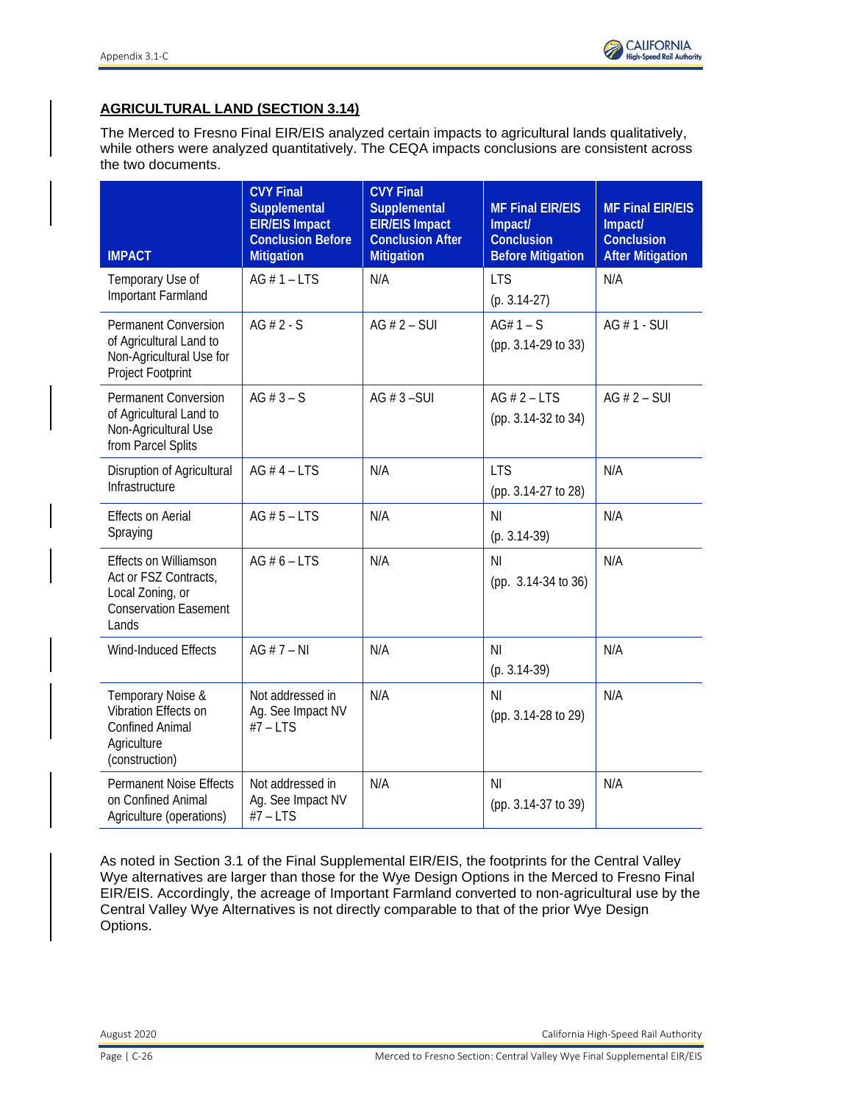

## **AGRICULTURAL LAND (SECTION 3.14)**

The Merced to Fresno Final EIR/EIS analyzed certain impacts to agricultural lands qualitatively, while others were analyzed quantitatively. The CEQA impacts conclusions are consistent across the two documents.

| <b>IMPACT</b>                                                                                               | <b>CVY Final</b><br>Supplemental<br><b>EIR/EIS Impact</b><br><b>Conclusion Before</b><br><b>Mitigation</b> | <b>CVY Final</b><br>Supplemental<br><b>EIR/EIS Impact</b><br><b>Conclusion After</b><br><b>Mitigation</b> | <b>MF Final EIR/EIS</b><br>Impact/<br><b>Conclusion</b><br><b>Before Mitigation</b> | <b>MF Final EIR/EIS</b><br>Impact/<br><b>Conclusion</b><br><b>After Mitigation</b> |
|-------------------------------------------------------------------------------------------------------------|------------------------------------------------------------------------------------------------------------|-----------------------------------------------------------------------------------------------------------|-------------------------------------------------------------------------------------|------------------------------------------------------------------------------------|
| Temporary Use of<br>Important Farmland                                                                      | AG $# 1 - LTS$                                                                                             | N/A                                                                                                       | <b>LTS</b><br>$(p. 3.14-27)$                                                        | N/A                                                                                |
| <b>Permanent Conversion</b><br>of Agricultural Land to<br>Non-Agricultural Use for<br>Project Footprint     | AG $# 2 - S$                                                                                               | AG $# 2 - SUI$                                                                                            | AG# $1 - S$<br>(pp. 3.14-29 to 33)                                                  | AG #1 - SUI                                                                        |
| <b>Permanent Conversion</b><br>of Agricultural Land to<br>Non-Agricultural Use<br>from Parcel Splits        | AG # $3 - S$                                                                                               | AG $# 3 - SUI$                                                                                            | AG $# 2 - LTS$<br>(pp. 3.14-32 to 34)                                               | AG $# 2 - SUI$                                                                     |
| Disruption of Agricultural<br>Infrastructure                                                                | AG $#$ 4 $-$ LTS                                                                                           | N/A                                                                                                       | <b>LTS</b><br>(pp. 3.14-27 to 28)                                                   | N/A                                                                                |
| <b>Effects on Aerial</b><br>Spraying                                                                        | AG $# 5 - LTS$                                                                                             | N/A                                                                                                       | N <sub>1</sub><br>$(p. 3.14-39)$                                                    | N/A                                                                                |
| Effects on Williamson<br>Act or FSZ Contracts,<br>Local Zoning, or<br><b>Conservation Easement</b><br>Lands | AG $# 6$ – LTS                                                                                             | N/A                                                                                                       | ΝI<br>(pp. 3.14-34 to 36)                                                           | N/A                                                                                |
| Wind-Induced Effects                                                                                        | AG $# 7 - NI$                                                                                              | N/A                                                                                                       | N <sub>l</sub><br>$(p. 3.14-39)$                                                    | N/A                                                                                |
| Temporary Noise &<br>Vibration Effects on<br><b>Confined Animal</b><br>Agriculture<br>(construction)        | Not addressed in<br>Ag. See Impact NV<br>$#7$ – LTS                                                        | N/A                                                                                                       | ΝI<br>(pp. 3.14-28 to 29)                                                           | N/A                                                                                |
| <b>Permanent Noise Effects</b><br>on Confined Animal<br>Agriculture (operations)                            | Not addressed in<br>Ag. See Impact NV<br>$#7$ – LTS                                                        | N/A                                                                                                       | ΝI<br>(pp. 3.14-37 to 39)                                                           | N/A                                                                                |

As noted in Section 3.1 of the Final Supplemental EIR/EIS, the footprints for the Central Valley Wye alternatives are larger than those for the Wye Design Options in the Merced to Fresno Final EIR/EIS. Accordingly, the acreage of Important Farmland converted to non-agricultural use by the Central Valley Wye Alternatives is not directly comparable to that of the prior Wye Design Options.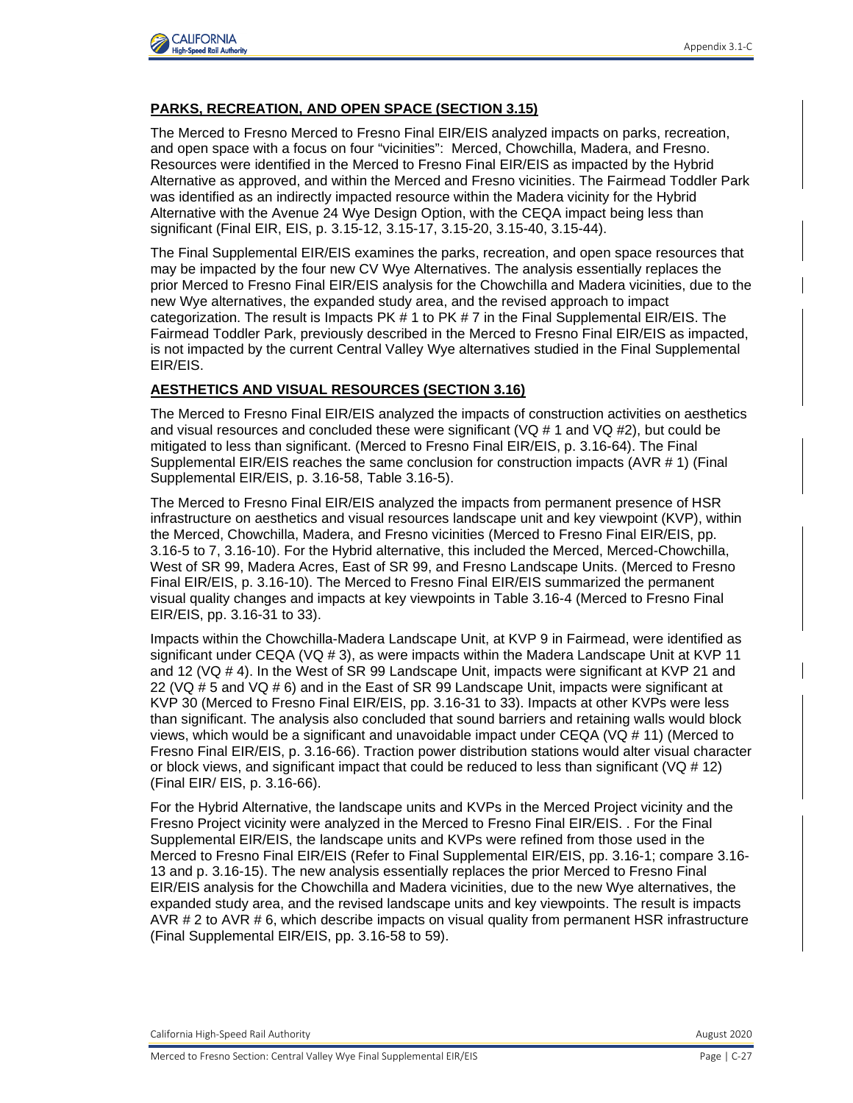

## **PARKS, RECREATION, AND OPEN SPACE (SECTION 3.15)**

The Merced to Fresno Merced to Fresno Final EIR/EIS analyzed impacts on parks, recreation, and open space with a focus on four "vicinities": Merced, Chowchilla, Madera, and Fresno. Resources were identified in the Merced to Fresno Final EIR/EIS as impacted by the Hybrid Alternative as approved, and within the Merced and Fresno vicinities. The Fairmead Toddler Park was identified as an indirectly impacted resource within the Madera vicinity for the Hybrid Alternative with the Avenue 24 Wye Design Option, with the CEQA impact being less than significant (Final EIR, EIS, p. 3.15-12, 3.15-17, 3.15-20, 3.15-40, 3.15-44).

The Final Supplemental EIR/EIS examines the parks, recreation, and open space resources that may be impacted by the four new CV Wye Alternatives. The analysis essentially replaces the prior Merced to Fresno Final EIR/EIS analysis for the Chowchilla and Madera vicinities, due to the new Wye alternatives, the expanded study area, and the revised approach to impact categorization. The result is Impacts PK # 1 to PK # 7 in the Final Supplemental EIR/EIS. The Fairmead Toddler Park, previously described in the Merced to Fresno Final EIR/EIS as impacted, is not impacted by the current Central Valley Wye alternatives studied in the Final Supplemental EIR/EIS.

#### **AESTHETICS AND VISUAL RESOURCES (SECTION 3.16)**

The Merced to Fresno Final EIR/EIS analyzed the impacts of construction activities on aesthetics and visual resources and concluded these were significant ( $\sqrt{Q}$  # 1 and  $\sqrt{Q}$  #2), but could be mitigated to less than significant. (Merced to Fresno Final EIR/EIS, p. 3.16-64). The Final Supplemental EIR/EIS reaches the same conclusion for construction impacts (AVR # 1) (Final Supplemental EIR/EIS, p. 3.16-58, Table 3.16-5).

The Merced to Fresno Final EIR/EIS analyzed the impacts from permanent presence of HSR infrastructure on aesthetics and visual resources landscape unit and key viewpoint (KVP), within the Merced, Chowchilla, Madera, and Fresno vicinities (Merced to Fresno Final EIR/EIS, pp. 3.16-5 to 7, 3.16-10). For the Hybrid alternative, this included the Merced, Merced-Chowchilla, West of SR 99, Madera Acres, East of SR 99, and Fresno Landscape Units. (Merced to Fresno Final EIR/EIS, p. 3.16-10). The Merced to Fresno Final EIR/EIS summarized the permanent visual quality changes and impacts at key viewpoints in Table 3.16-4 (Merced to Fresno Final EIR/EIS, pp. 3.16-31 to 33).

Impacts within the Chowchilla-Madera Landscape Unit, at KVP 9 in Fairmead, were identified as significant under CEQA (VQ # 3), as were impacts within the Madera Landscape Unit at KVP 11 and 12 (VQ # 4). In the West of SR 99 Landscape Unit, impacts were significant at KVP 21 and 22 (VQ # 5 and VQ # 6) and in the East of SR 99 Landscape Unit, impacts were significant at KVP 30 (Merced to Fresno Final EIR/EIS, pp. 3.16-31 to 33). Impacts at other KVPs were less than significant. The analysis also concluded that sound barriers and retaining walls would block views, which would be a significant and unavoidable impact under CEQA (VQ # 11) (Merced to Fresno Final EIR/EIS, p. 3.16-66). Traction power distribution stations would alter visual character or block views, and significant impact that could be reduced to less than significant ( $VQ \neq 12$ ) (Final EIR/ EIS, p. 3.16-66).

For the Hybrid Alternative, the landscape units and KVPs in the Merced Project vicinity and the Fresno Project vicinity were analyzed in the Merced to Fresno Final EIR/EIS. . For the Final Supplemental EIR/EIS, the landscape units and KVPs were refined from those used in the Merced to Fresno Final EIR/EIS (Refer to Final Supplemental EIR/EIS, pp. 3.16-1; compare 3.16- 13 and p. 3.16-15). The new analysis essentially replaces the prior Merced to Fresno Final EIR/EIS analysis for the Chowchilla and Madera vicinities, due to the new Wye alternatives, the expanded study area, and the revised landscape units and key viewpoints. The result is impacts AVR # 2 to AVR # 6, which describe impacts on visual quality from permanent HSR infrastructure (Final Supplemental EIR/EIS, pp. 3.16-58 to 59).

California High-Speed Rail Authority August 2020

Merced to Fresno Section: Central Valley Wye Final Supplemental EIR/EIS Page | C-27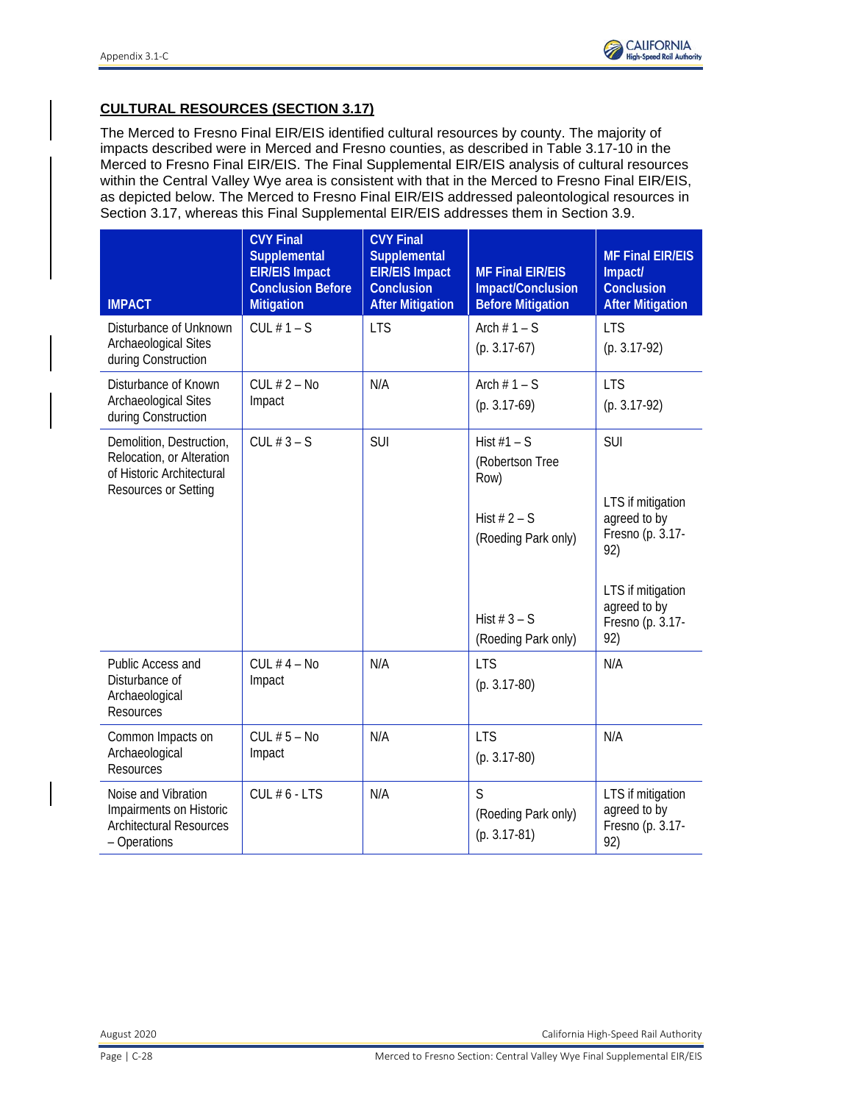## **CULTURAL RESOURCES (SECTION 3.17)**

The Merced to Fresno Final EIR/EIS identified cultural resources by county. The majority of impacts described were in Merced and Fresno counties, as described in Table 3.17-10 in the Merced to Fresno Final EIR/EIS. The Final Supplemental EIR/EIS analysis of cultural resources within the Central Valley Wye area is consistent with that in the Merced to Fresno Final EIR/EIS, as depicted below. The Merced to Fresno Final EIR/EIS addressed paleontological resources in Section 3.17, whereas this Final Supplemental EIR/EIS addresses them in Section 3.9.

| <b>IMPACT</b>                                                                                              | <b>CVY Final</b><br>Supplemental<br><b>EIR/EIS Impact</b><br><b>Conclusion Before</b><br><b>Mitigation</b> | <b>CVY Final</b><br>Supplemental<br><b>EIR/EIS Impact</b><br><b>Conclusion</b><br><b>After Mitigation</b> | <b>MF Final EIR/EIS</b><br>Impact/Conclusion<br><b>Before Mitigation</b>                                                   | <b>MF Final EIR/EIS</b><br>Impact/<br><b>Conclusion</b><br><b>After Mitigation</b>                                                         |
|------------------------------------------------------------------------------------------------------------|------------------------------------------------------------------------------------------------------------|-----------------------------------------------------------------------------------------------------------|----------------------------------------------------------------------------------------------------------------------------|--------------------------------------------------------------------------------------------------------------------------------------------|
| Disturbance of Unknown<br>Archaeological Sites<br>during Construction                                      | CUL $# 1 - S$                                                                                              | <b>LTS</b>                                                                                                | Arch $# 1 - S$<br>$(p. 3.17-67)$                                                                                           | <b>LTS</b><br>$(p. 3.17-92)$                                                                                                               |
| Disturbance of Known<br>Archaeological Sites<br>during Construction                                        | $CUL # 2 - No$<br>Impact                                                                                   | N/A                                                                                                       | Arch $# 1 - S$<br>$(p. 3.17-69)$                                                                                           | <b>LTS</b><br>$(p. 3.17-92)$                                                                                                               |
| Demolition, Destruction,<br>Relocation, or Alteration<br>of Historic Architectural<br>Resources or Setting | CUL $#3 - S$                                                                                               | <b>SUI</b>                                                                                                | Hist $#1 - S$<br>(Robertson Tree<br>Row)<br>Hist # $2 - S$<br>(Roeding Park only)<br>Hist $# 3 - S$<br>(Roeding Park only) | <b>SUI</b><br>LTS if mitigation<br>agreed to by<br>Fresno (p. 3.17-<br>92)<br>LTS if mitigation<br>agreed to by<br>Fresno (p. 3.17-<br>92) |
| Public Access and<br>Disturbance of<br>Archaeological<br>Resources                                         | CUL $#$ 4 - No<br>Impact                                                                                   | N/A                                                                                                       | <b>LTS</b><br>$(p. 3.17-80)$                                                                                               | N/A                                                                                                                                        |
| Common Impacts on<br>Archaeological<br>Resources                                                           | CUL $# 5 - No$<br>Impact                                                                                   | N/A                                                                                                       | <b>LTS</b><br>$(p. 3.17-80)$                                                                                               | N/A                                                                                                                                        |
| Noise and Vibration<br>Impairments on Historic<br><b>Architectural Resources</b><br>- Operations           | CUL $# 6 - LTS$                                                                                            | N/A                                                                                                       | S<br>(Roeding Park only)<br>$(p. 3.17-81)$                                                                                 | LTS if mitigation<br>agreed to by<br>Fresno (p. 3.17-<br>92)                                                                               |